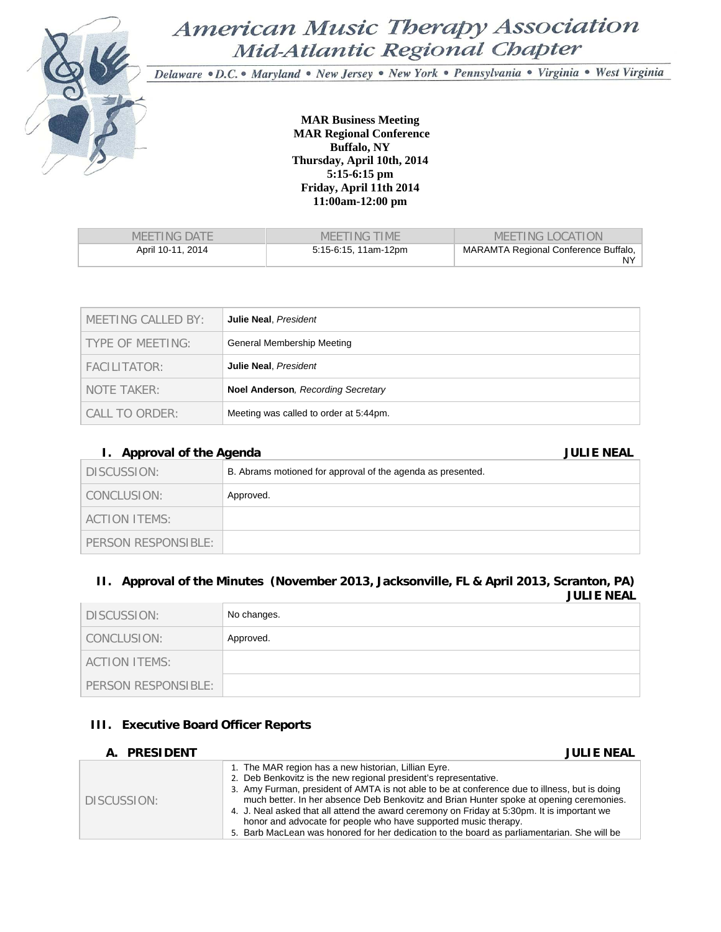

# American Music Therapy Association Mid-Atlantic Regional Chapter

Delaware · D.C. · Maryland · New Jersey · New York · Pennsylvania · Virginia · West Virginia

**MAR Business Meeting MAR Regional Conference Buffalo, NY Thursday, April 10th, 2014 5:15-6:15 pm Friday, April 11th 2014 11:00am-12:00 pm** 

| MEETING DATE      | MEETING TIME         | MEETING LOCATION                             |
|-------------------|----------------------|----------------------------------------------|
| April 10-11, 2014 | 5:15-6:15, 11am-12pm | MARAMTA Regional Conference Buffalo,<br>NY I |

| MEETING CALLED BY: | Julie Neal, President                     |
|--------------------|-------------------------------------------|
| TYPE OF MEETING:   | General Membership Meeting                |
| FACILITATOR:       | Julie Neal, President                     |
| NOTE TAKER:        | <b>Noel Anderson, Recording Secretary</b> |
| CALL TO ORDER:     | Meeting was called to order at 5:44pm.    |

## **I. Approval of the Agenda JULIE NEAL**

| $\ldots$ $\ldots$ $\ldots$ |                                                             |
|----------------------------|-------------------------------------------------------------|
| DISCUSSION:                | B. Abrams motioned for approval of the agenda as presented. |
| CONCLUSION:                | Approved.                                                   |
| ACTION ITEMS:              |                                                             |
| PERSON RESPONSIBLE:        |                                                             |

## **II. Approval of the Minutes (November 2013, Jacksonville, FL & April 2013, Scranton, PA) JULIE NEAL**

| DISCUSSION:         | No changes. |
|---------------------|-------------|
| CONCLUSION:         | Approved.   |
| ACTION ITEMS:       |             |
| PERSON RESPONSIBLE: |             |

## **III. Executive Board Officer Reports**

| A. PRESIDENT | <b>JULIE NEAL</b>                                                                                                                                                                                                                                                                                                                                                                                                                                                                                                                                                                     |
|--------------|---------------------------------------------------------------------------------------------------------------------------------------------------------------------------------------------------------------------------------------------------------------------------------------------------------------------------------------------------------------------------------------------------------------------------------------------------------------------------------------------------------------------------------------------------------------------------------------|
| DISCUSSION:  | 1. The MAR region has a new historian, Lillian Eyre.<br>2. Deb Benkovitz is the new regional president's representative.<br>3. Amy Furman, president of AMTA is not able to be at conference due to illness, but is doing<br>much better. In her absence Deb Benkovitz and Brian Hunter spoke at opening ceremonies.<br>4. J. Neal asked that all attend the award ceremony on Friday at 5:30pm. It is important we<br>honor and advocate for people who have supported music therapy.<br>5. Barb MacLean was honored for her dedication to the board as parliamentarian. She will be |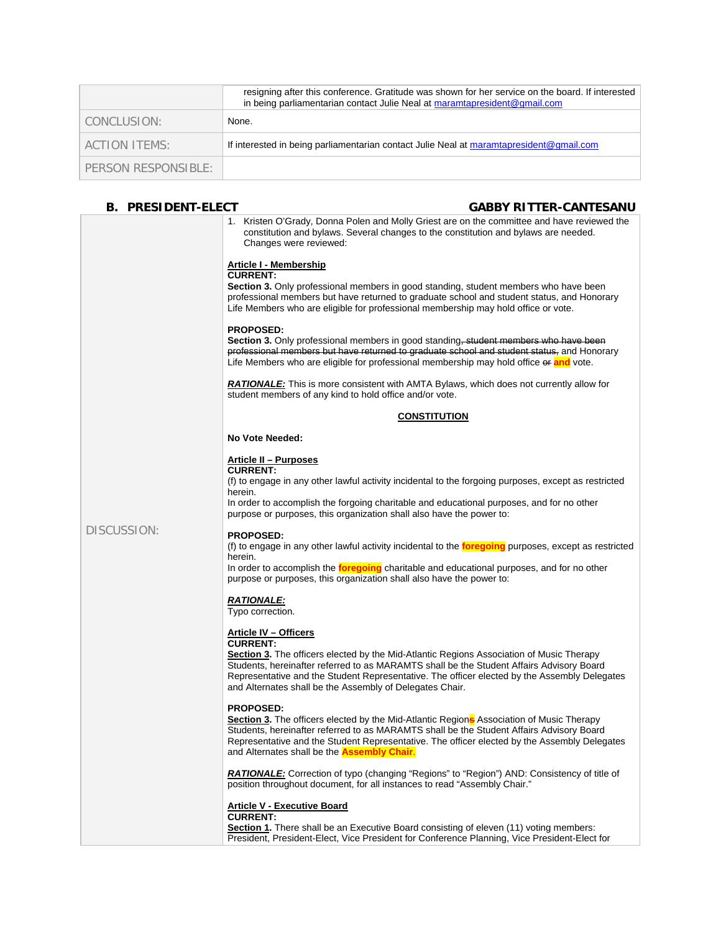|                     | resigning after this conference. Gratitude was shown for her service on the board. If interested<br>in being parliamentarian contact Julie Neal at maramtapresident@gmail.com |
|---------------------|-------------------------------------------------------------------------------------------------------------------------------------------------------------------------------|
| CONCLUSION:         | None.                                                                                                                                                                         |
| ACTION ITEMS:       | If interested in being parliamentarian contact Julie Neal at maramtapresident@gmail.com                                                                                       |
| PERSON RESPONSIBLE: |                                                                                                                                                                               |

## B. PRESIDENT-ELECT GABBY RITTER-CANTESANU

|             | 1. Kristen O'Grady, Donna Polen and Molly Griest are on the committee and have reviewed the<br>constitution and bylaws. Several changes to the constitution and bylaws are needed.<br>Changes were reviewed:                                                                                                                                                                      |
|-------------|-----------------------------------------------------------------------------------------------------------------------------------------------------------------------------------------------------------------------------------------------------------------------------------------------------------------------------------------------------------------------------------|
|             | <u> Article I - Membership</u><br><b>CURRENT:</b><br><b>Section 3.</b> Only professional members in good standing, student members who have been<br>professional members but have returned to graduate school and student status, and Honorary                                                                                                                                    |
|             | Life Members who are eligible for professional membership may hold office or vote.<br><b>PROPOSED:</b><br><b>Section 3.</b> Only professional members in good standing, student members who have been                                                                                                                                                                             |
|             | professional members but have returned to graduate school and student status, and Honorary<br>Life Members who are eligible for professional membership may hold office or and vote.                                                                                                                                                                                              |
|             | <b>RATIONALE:</b> This is more consistent with AMTA Bylaws, which does not currently allow for<br>student members of any kind to hold office and/or vote.                                                                                                                                                                                                                         |
|             | <b>CONSTITUTION</b>                                                                                                                                                                                                                                                                                                                                                               |
|             | No Vote Needed:                                                                                                                                                                                                                                                                                                                                                                   |
|             | Article II - Purposes<br><b>CURRENT:</b><br>(f) to engage in any other lawful activity incidental to the forgoing purposes, except as restricted<br>herein.<br>In order to accomplish the forgoing charitable and educational purposes, and for no other                                                                                                                          |
|             | purpose or purposes, this organization shall also have the power to:                                                                                                                                                                                                                                                                                                              |
| DISCUSSION: | <b>PROPOSED:</b><br>(f) to engage in any other lawful activity incidental to the <b>foregoing</b> purposes, except as restricted<br>herein.                                                                                                                                                                                                                                       |
|             | In order to accomplish the <b>foregoing</b> charitable and educational purposes, and for no other<br>purpose or purposes, this organization shall also have the power to:                                                                                                                                                                                                         |
|             | <b>RATIONALE:</b><br>Typo correction.                                                                                                                                                                                                                                                                                                                                             |
|             | <b>Article IV - Officers</b><br><b>CURRENT:</b>                                                                                                                                                                                                                                                                                                                                   |
|             | Section 3. The officers elected by the Mid-Atlantic Regions Association of Music Therapy<br>Students, hereinafter referred to as MARAMTS shall be the Student Affairs Advisory Board<br>Representative and the Student Representative. The officer elected by the Assembly Delegates<br>and Alternates shall be the Assembly of Delegates Chair.                                  |
|             | <b>PROPOSED:</b><br><b>Section 3.</b> The officers elected by the Mid-Atlantic Region <sup>s</sup> Association of Music Therapy<br>Students, hereinafter referred to as MARAMTS shall be the Student Affairs Advisory Board<br>Representative and the Student Representative. The officer elected by the Assembly Delegates<br>and Alternates shall be the <b>Assembly Chair.</b> |
|             | <b>RATIONALE:</b> Correction of typo (changing "Regions" to "Region") AND: Consistency of title of<br>position throughout document, for all instances to read "Assembly Chair."                                                                                                                                                                                                   |
|             | <b>Article V - Executive Board</b><br><b>CURRENT:</b>                                                                                                                                                                                                                                                                                                                             |
|             | Section 1. There shall be an Executive Board consisting of eleven (11) voting members:<br>President, President-Elect, Vice President for Conference Planning, Vice President-Elect for                                                                                                                                                                                            |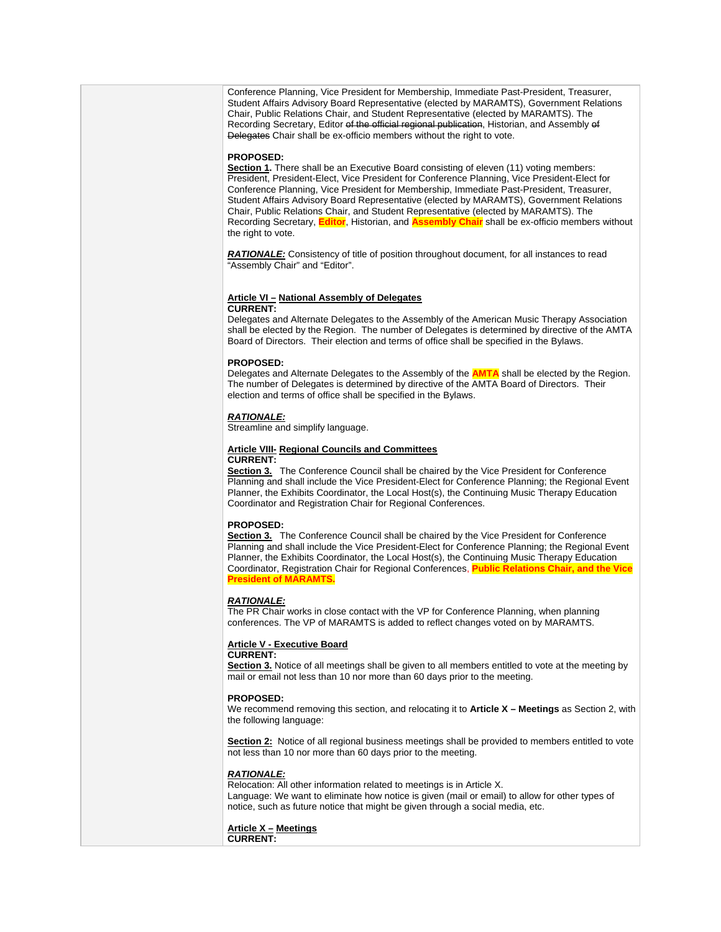Conference Planning, Vice President for Membership, Immediate Past-President, Treasurer, Student Affairs Advisory Board Representative (elected by MARAMTS), Government Relations Chair, Public Relations Chair, and Student Representative (elected by MARAMTS). The Recording Secretary, Editor of the official regional publication, Historian, and Assembly of Delegates Chair shall be ex-officio members without the right to vote.

### **PROPOSED:**

**Section 1.** There shall be an Executive Board consisting of eleven (11) voting members: President, President-Elect, Vice President for Conference Planning, Vice President-Elect for Conference Planning, Vice President for Membership, Immediate Past-President, Treasurer, Student Affairs Advisory Board Representative (elected by MARAMTS), Government Relations Chair, Public Relations Chair, and Student Representative (elected by MARAMTS). The Recording Secretary, **Editor**, Historian, and **Assembly Chair** shall be ex-officio members without the right to vote.

**RATIONALE:** Consistency of title of position throughout document, for all instances to read "Assembly Chair" and "Editor".

### **Article VI – National Assembly of Delegates**

### **CURRENT:**

Delegates and Alternate Delegates to the Assembly of the American Music Therapy Association shall be elected by the Region. The number of Delegates is determined by directive of the AMTA Board of Directors. Their election and terms of office shall be specified in the Bylaws.

### **PROPOSED:**

Delegates and Alternate Delegates to the Assembly of the **AMTA** shall be elected by the Region. The number of Delegates is determined by directive of the AMTA Board of Directors. Their election and terms of office shall be specified in the Bylaws.

### *RATIONALE:*

Streamline and simplify language.

### **Article VIII- Regional Councils and Committees**

## **CURRENT:**

**Section 3.** The Conference Council shall be chaired by the Vice President for Conference Planning and shall include the Vice President-Elect for Conference Planning; the Regional Event Planner, the Exhibits Coordinator, the Local Host(s), the Continuing Music Therapy Education Coordinator and Registration Chair for Regional Conferences.

### **PROPOSED:**

**Section 3.** The Conference Council shall be chaired by the Vice President for Conference Planning and shall include the Vice President-Elect for Conference Planning; the Regional Event Planner, the Exhibits Coordinator, the Local Host(s), the Continuing Music Therapy Education Coordinator, Registration Chair for Regional Conferences, **Public Relations Ch President of MARAMTS.** 

## *RATIONALE:*

The PR Chair works in close contact with the VP for Conference Planning, when planning conferences. The VP of MARAMTS is added to reflect changes voted on by MARAMTS.

### **Article V - Executive Board**

### **CURRENT:**

**Section 3.** Notice of all meetings shall be given to all members entitled to vote at the meeting by mail or email not less than 10 nor more than 60 days prior to the meeting.

### **PROPOSED:**

We recommend removing this section, and relocating it to **Article X – Meetings** as Section 2, with the following language:

**Section 2:** Notice of all regional business meetings shall be provided to members entitled to vote not less than 10 nor more than 60 days prior to the meeting.

### *RATIONALE:*

Relocation: All other information related to meetings is in Article X. Language: We want to eliminate how notice is given (mail or email) to allow for other types of notice, such as future notice that might be given through a social media, etc.

### **Article X – Meetings CURRENT:**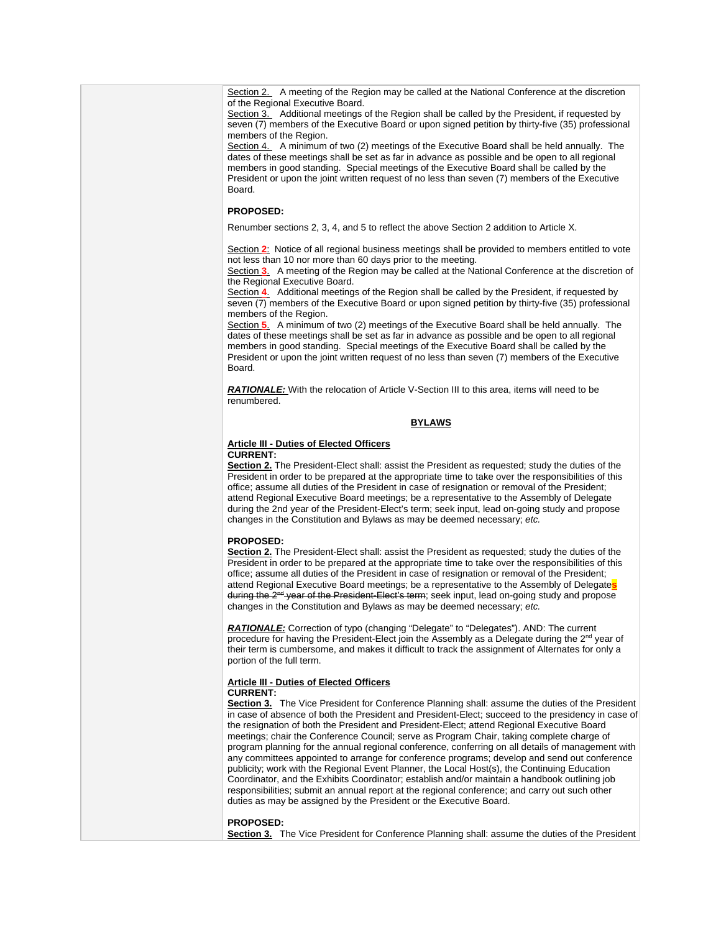Section 2. A meeting of the Region may be called at the National Conference at the discretion of the Regional Executive Board.

Section 3. Additional meetings of the Region shall be called by the President, if requested by seven (7) members of the Executive Board or upon signed petition by thirty-five (35) professional members of the Region.

Section 4. A minimum of two (2) meetings of the Executive Board shall be held annually. The dates of these meetings shall be set as far in advance as possible and be open to all regional members in good standing. Special meetings of the Executive Board shall be called by the President or upon the joint written request of no less than seven (7) members of the Executive Board.

### **PROPOSED:**

Renumber sections 2, 3, 4, and 5 to reflect the above Section 2 addition to Article X.

Section 2: Notice of all regional business meetings shall be provided to members entitled to vote not less than 10 nor more than 60 days prior to the meeting.

Section **3**. A meeting of the Region may be called at the National Conference at the discretion of the Regional Executive Board.

Section **4**. Additional meetings of the Region shall be called by the President, if requested by seven (7) members of the Executive Board or upon signed petition by thirty-five (35) professional members of the Region.

Section **5**. A minimum of two (2) meetings of the Executive Board shall be held annually. The dates of these meetings shall be set as far in advance as possible and be open to all regional members in good standing. Special meetings of the Executive Board shall be called by the President or upon the joint written request of no less than seven (7) members of the Executive Board.

**RATIONALE:** With the relocation of Article V-Section III to this area, items will need to be renumbered.

## **BYLAWS**

### **Article III - Duties of Elected Officers CURRENT:**

**Section 2.** The President-Elect shall: assist the President as requested; study the duties of the President in order to be prepared at the appropriate time to take over the responsibilities of this office; assume all duties of the President in case of resignation or removal of the President; attend Regional Executive Board meetings; be a representative to the Assembly of Delegate during the 2nd year of the President-Elect's term; seek input, lead on-going study and propose changes in the Constitution and Bylaws as may be deemed necessary; *etc.*

### **PROPOSED:**

**Section 2.** The President-Elect shall: assist the President as requested; study the duties of the President in order to be prepared at the appropriate time to take over the responsibilities of this office; assume all duties of the President in case of resignation or removal of the President; attend Regional Executive Board meetings; be a representative to the Assembly of Delegate**s** during the 2<sup>nd</sup> year of the President-Elect's term; seek input, lead on-going study and propose changes in the Constitution and Bylaws as may be deemed necessary; *etc.*

*RATIONALE:* Correction of typo (changing "Delegate" to "Delegates"). AND: The current procedure for having the President-Elect join the Assembly as a Delegate during the 2<sup>nd</sup> year of their term is cumbersome, and makes it difficult to track the assignment of Alternates for only a portion of the full term.

## **Article III - Duties of Elected Officers**

## **CURRENT:**

**Section 3.** The Vice President for Conference Planning shall: assume the duties of the President in case of absence of both the President and President-Elect; succeed to the presidency in case of the resignation of both the President and President-Elect; attend Regional Executive Board meetings; chair the Conference Council; serve as Program Chair, taking complete charge of program planning for the annual regional conference, conferring on all details of management with any committees appointed to arrange for conference programs; develop and send out conference publicity; work with the Regional Event Planner, the Local Host(s), the Continuing Education Coordinator, and the Exhibits Coordinator; establish and/or maintain a handbook outlining job responsibilities; submit an annual report at the regional conference; and carry out such other duties as may be assigned by the President or the Executive Board.

## **PROPOSED:**

**Section 3.** The Vice President for Conference Planning shall: assume the duties of the President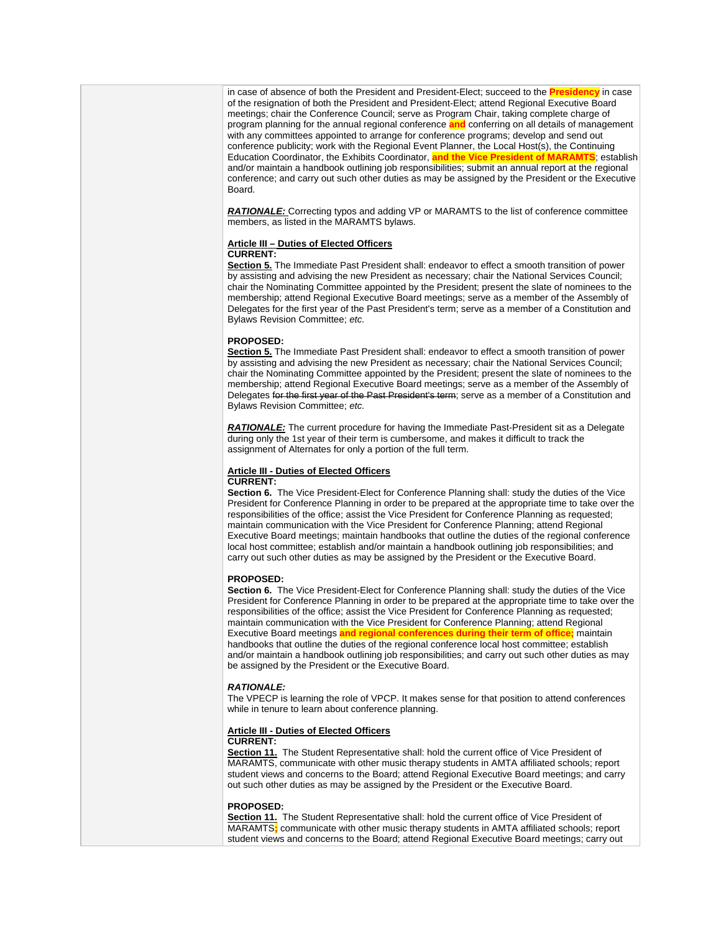in case of absence of both the President and President-Elect; succeed to the **Presidency** in case of the resignation of both the President and President-Elect; attend Regional Executive Board meetings; chair the Conference Council; serve as Program Chair, taking complete charge of program planning for the annual regional conference **and** conferring on all details of management with any committees appointed to arrange for conference programs; develop and send out conference publicity; work with the Regional Event Planner, the Local Host(s), the Continuing Education Coordinator, the Exhibits Coordinator, **and the Vice President of MARAMTS**; establish and/or maintain a handbook outlining job responsibilities; submit an annual report at the regional conference; and carry out such other duties as may be assigned by the President or the Executive Board.

*RATIONALE:* Correcting typos and adding VP or MARAMTS to the list of conference committee members, as listed in the MARAMTS bylaws.

## **Article III – Duties of Elected Officers**

## **CURRENT:**

Section 5. The Immediate Past President shall: endeavor to effect a smooth transition of power by assisting and advising the new President as necessary; chair the National Services Council; chair the Nominating Committee appointed by the President; present the slate of nominees to the membership; attend Regional Executive Board meetings; serve as a member of the Assembly of Delegates for the first year of the Past President's term; serve as a member of a Constitution and Bylaws Revision Committee; *etc.*

### **PROPOSED:**

**Section 5.** The Immediate Past President shall: endeavor to effect a smooth transition of power by assisting and advising the new President as necessary; chair the National Services Council; chair the Nominating Committee appointed by the President; present the slate of nominees to the membership; attend Regional Executive Board meetings; serve as a member of the Assembly of Delegates for the first year of the Past President's term; serve as a member of a Constitution and Bylaws Revision Committee; *etc.* 

*RATIONALE:* The current procedure for having the Immediate Past-President sit as a Delegate during only the 1st year of their term is cumbersome, and makes it difficult to track the assignment of Alternates for only a portion of the full term.

## **Article III - Duties of Elected Officers**

## **CURRENT:**

**Section 6.** The Vice President-Elect for Conference Planning shall: study the duties of the Vice President for Conference Planning in order to be prepared at the appropriate time to take over the responsibilities of the office; assist the Vice President for Conference Planning as requested; maintain communication with the Vice President for Conference Planning; attend Regional Executive Board meetings; maintain handbooks that outline the duties of the regional conference local host committee; establish and/or maintain a handbook outlining job responsibilities; and carry out such other duties as may be assigned by the President or the Executive Board.

## **PROPOSED:**

**Section 6.** The Vice President-Elect for Conference Planning shall: study the duties of the Vice President for Conference Planning in order to be prepared at the appropriate time to take over the responsibilities of the office; assist the Vice President for Conference Planning as requested; maintain communication with the Vice President for Conference Planning; attend Regional Executive Board meetings **and regional conferences during their term of office;** maintain handbooks that outline the duties of the regional conference local host committee; establish and/or maintain a handbook outlining job responsibilities; and carry out such other duties as may be assigned by the President or the Executive Board.

### *RATIONALE:*

The VPECP is learning the role of VPCP. It makes sense for that position to attend conferences while in tenure to learn about conference planning.

## **Article III - Duties of Elected Officers**

## **CURRENT:**

**Section 11.** The Student Representative shall: hold the current office of Vice President of MARAMTS, communicate with other music therapy students in AMTA affiliated schools; report student views and concerns to the Board; attend Regional Executive Board meetings; and carry out such other duties as may be assigned by the President or the Executive Board.

### **PROPOSED:**

**Section 11.** The Student Representative shall: hold the current office of Vice President of MARAMTS**;** communicate with other music therapy students in AMTA affiliated schools; report student views and concerns to the Board; attend Regional Executive Board meetings; carry out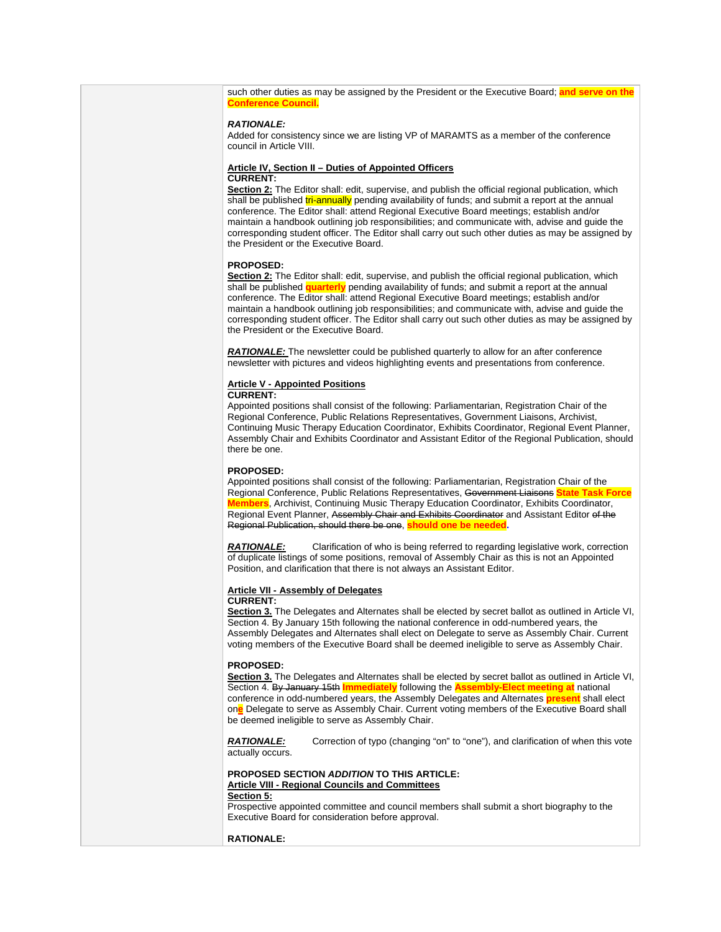such other duties as may be assigned by the President or the Executive Board; **and serve on the Conference Council.**

### *RATIONALE:*

Added for consistency since we are listing VP of MARAMTS as a member of the conference council in Article VIII.

### **Article IV, Section II – Duties of Appointed Officers CURRENT:**

**Section 2:** The Editor shall: edit, supervise, and publish the official regional publication, which shall be published tri-annually pending availability of funds; and submit a report at the annual conference. The Editor shall: attend Regional Executive Board meetings; establish and/or maintain a handbook outlining job responsibilities; and communicate with, advise and guide the corresponding student officer. The Editor shall carry out such other duties as may be assigned by the President or the Executive Board.

### **PROPOSED:**

**Section 2:** The Editor shall: edit, supervise, and publish the official regional publication, which shall be published **quarterly** pending availability of funds; and submit a report at the annual conference. The Editor shall: attend Regional Executive Board meetings; establish and/or maintain a handbook outlining job responsibilities; and communicate with, advise and guide the corresponding student officer. The Editor shall carry out such other duties as may be assigned by the President or the Executive Board.

*RATIONALE:* The newsletter could be published quarterly to allow for an after conference newsletter with pictures and videos highlighting events and presentations from conference.

## **Article V - Appointed Positions**

### **CURRENT:**

Appointed positions shall consist of the following: Parliamentarian, Registration Chair of the Regional Conference, Public Relations Representatives, Government Liaisons, Archivist, Continuing Music Therapy Education Coordinator, Exhibits Coordinator, Regional Event Planner, Assembly Chair and Exhibits Coordinator and Assistant Editor of the Regional Publication, should there be one.

### **PROPOSED:**

Appointed positions shall consist of the following: Parliamentarian, Registration Chair of the Regional Conference, Public Relations Representatives, Government Liaisons **State Task Force embers**, Archivist, Continuing Music Therapy Education Coordinator, Exhibits Coordinator, Regional Event Planner, Assembly Chair and Exhibits Coordinator and Assistant Editor of the Regional Publication, should there be one, **should one be needed.** 

**RATIONALE:** Clarification of who is being referred to regarding legislative work, correction of duplicate listings of some positions, removal of Assembly Chair as this is not an Appointed Position, and clarification that there is not always an Assistant Editor.

## **Article VII - Assembly of Delegates**

## **CURRENT:**

**Section 3.** The Delegates and Alternates shall be elected by secret ballot as outlined in Article VI, Section 4. By January 15th following the national conference in odd-numbered years, the Assembly Delegates and Alternates shall elect on Delegate to serve as Assembly Chair. Current voting members of the Executive Board shall be deemed ineligible to serve as Assembly Chair.

### **PROPOSED:**

Section 3. The Delegates and Alternates shall be elected by secret ballot as outlined in Article VI, Section 4. By January 15th **Immediately** following the **Assembly-Elect meeting at** national conference in odd-numbered years, the Assembly Delegates and Alternates **present** shall elect on**e** Delegate to serve as Assembly Chair. Current voting members of the Executive Board shall be deemed ineligible to serve as Assembly Chair.

*RATIONALE:* Correction of typo (changing "on" to "one"), and clarification of when this vote actually occurs.

## **PROPOSED SECTION** *ADDITION* **TO THIS ARTICLE: Article VIII - Regional Councils and Committees**

## **Section 5:**

Prospective appointed committee and council members shall submit a short biography to the Executive Board for consideration before approval.

**RATIONALE:**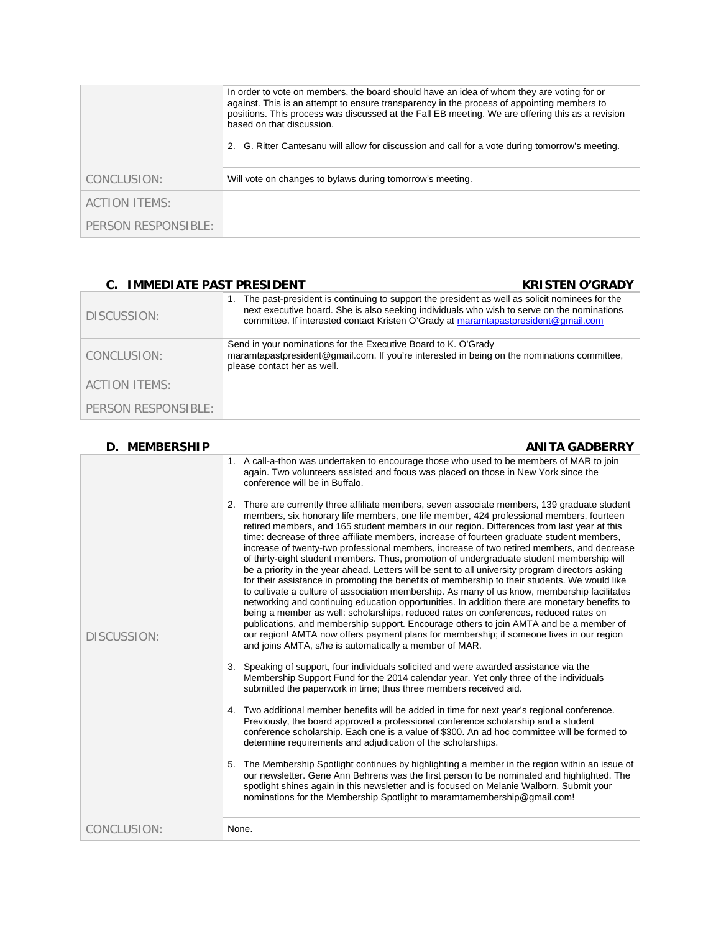|                      | In order to vote on members, the board should have an idea of whom they are voting for or<br>against. This is an attempt to ensure transparency in the process of appointing members to<br>positions. This process was discussed at the Fall EB meeting. We are offering this as a revision<br>based on that discussion.<br>2. G. Ritter Cantesanu will allow for discussion and call for a vote during tomorrow's meeting. |
|----------------------|-----------------------------------------------------------------------------------------------------------------------------------------------------------------------------------------------------------------------------------------------------------------------------------------------------------------------------------------------------------------------------------------------------------------------------|
| CONCLUSION:          | Will vote on changes to bylaws during tomorrow's meeting.                                                                                                                                                                                                                                                                                                                                                                   |
| <b>ACTION ITEMS:</b> |                                                                                                                                                                                                                                                                                                                                                                                                                             |
| PERSON RESPONSIBLE:  |                                                                                                                                                                                                                                                                                                                                                                                                                             |

## **C. IMMEDIATE PAST PRESIDENT C. IMMEDIATE PAST PRESIDENT**

| DISCUSSION:         | The past-president is continuing to support the president as well as solicit nominees for the<br>1.<br>next executive board. She is also seeking individuals who wish to serve on the nominations<br>committee. If interested contact Kristen O'Grady at maramtapastpresident@gmail.com |
|---------------------|-----------------------------------------------------------------------------------------------------------------------------------------------------------------------------------------------------------------------------------------------------------------------------------------|
| CONCLUSION:         | Send in your nominations for the Executive Board to K. O'Grady<br>maramtapastpresident@gmail.com. If you're interested in being on the nominations committee.<br>please contact her as well.                                                                                            |
| ACTION ITEMS:       |                                                                                                                                                                                                                                                                                         |
| PERSON RESPONSIBLE: |                                                                                                                                                                                                                                                                                         |

| <b>D. MEMBERSHIP</b> | <b>ANITA GADBERRY</b>                                                                                                                                                                                                                                                                                                                                                                                                                                                                                                                                                                                                                                                                                                                                                                                                                                                                                                                                                                                                                                                                                                                                                                                                                                                                                                        |
|----------------------|------------------------------------------------------------------------------------------------------------------------------------------------------------------------------------------------------------------------------------------------------------------------------------------------------------------------------------------------------------------------------------------------------------------------------------------------------------------------------------------------------------------------------------------------------------------------------------------------------------------------------------------------------------------------------------------------------------------------------------------------------------------------------------------------------------------------------------------------------------------------------------------------------------------------------------------------------------------------------------------------------------------------------------------------------------------------------------------------------------------------------------------------------------------------------------------------------------------------------------------------------------------------------------------------------------------------------|
| <b>DISCUSSION:</b>   | 1. A call-a-thon was undertaken to encourage those who used to be members of MAR to join<br>again. Two volunteers assisted and focus was placed on those in New York since the<br>conference will be in Buffalo.                                                                                                                                                                                                                                                                                                                                                                                                                                                                                                                                                                                                                                                                                                                                                                                                                                                                                                                                                                                                                                                                                                             |
|                      | 2. There are currently three affiliate members, seven associate members, 139 graduate student<br>members, six honorary life members, one life member, 424 professional members, fourteen<br>retired members, and 165 student members in our region. Differences from last year at this<br>time: decrease of three affiliate members, increase of fourteen graduate student members,<br>increase of twenty-two professional members, increase of two retired members, and decrease<br>of thirty-eight student members. Thus, promotion of undergraduate student membership will<br>be a priority in the year ahead. Letters will be sent to all university program directors asking<br>for their assistance in promoting the benefits of membership to their students. We would like<br>to cultivate a culture of association membership. As many of us know, membership facilitates<br>networking and continuing education opportunities. In addition there are monetary benefits to<br>being a member as well: scholarships, reduced rates on conferences, reduced rates on<br>publications, and membership support. Encourage others to join AMTA and be a member of<br>our region! AMTA now offers payment plans for membership; if someone lives in our region<br>and joins AMTA, s/he is automatically a member of MAR. |
|                      | 3. Speaking of support, four individuals solicited and were awarded assistance via the<br>Membership Support Fund for the 2014 calendar year. Yet only three of the individuals<br>submitted the paperwork in time; thus three members received aid.                                                                                                                                                                                                                                                                                                                                                                                                                                                                                                                                                                                                                                                                                                                                                                                                                                                                                                                                                                                                                                                                         |
|                      | 4. Two additional member benefits will be added in time for next year's regional conference.<br>Previously, the board approved a professional conference scholarship and a student<br>conference scholarship. Each one is a value of \$300. An ad hoc committee will be formed to<br>determine requirements and adjudication of the scholarships.                                                                                                                                                                                                                                                                                                                                                                                                                                                                                                                                                                                                                                                                                                                                                                                                                                                                                                                                                                            |
|                      | The Membership Spotlight continues by highlighting a member in the region within an issue of<br>5.<br>our newsletter. Gene Ann Behrens was the first person to be nominated and highlighted. The<br>spotlight shines again in this newsletter and is focused on Melanie Walborn. Submit your<br>nominations for the Membership Spotlight to maramtamembership@gmail.com!                                                                                                                                                                                                                                                                                                                                                                                                                                                                                                                                                                                                                                                                                                                                                                                                                                                                                                                                                     |
| CONCLUSION:          | None.                                                                                                                                                                                                                                                                                                                                                                                                                                                                                                                                                                                                                                                                                                                                                                                                                                                                                                                                                                                                                                                                                                                                                                                                                                                                                                                        |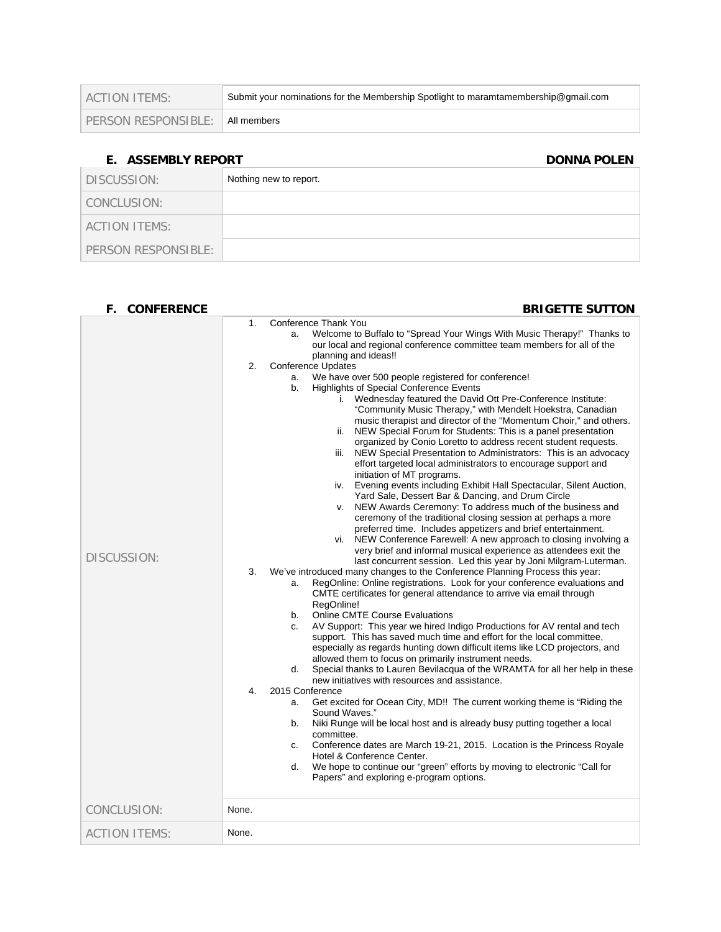| ACTION ITEMS:       | Submit your nominations for the Membership Spotlight to maramtamembership@gmail.com |
|---------------------|-------------------------------------------------------------------------------------|
| PERSON RESPONSIBLE: | ® All members                                                                       |

## **E.** ASSEMBLY REPORT DONNA POLEN

| DISCUSSION:          | Nothing new to report. |
|----------------------|------------------------|
| CONCLUSION:          |                        |
| <b>ACTION ITEMS:</b> |                        |
| PERSON RESPONSIBLE:  |                        |

| F.<br><b>CONFERENCE</b> | <b>BRIGETTE SUTTON</b>                                                                                                                                                                                                                                                                                                                                                                                                                                                                                                                                                                                                                                                                                                                                                                                                                                                                                                                                                                                                                                                                                                                                                                                                                                                                                                                                                                                                                                                                                                                                                                                                                                                                                                                                                                                                                                                                                                                                                                             |
|-------------------------|----------------------------------------------------------------------------------------------------------------------------------------------------------------------------------------------------------------------------------------------------------------------------------------------------------------------------------------------------------------------------------------------------------------------------------------------------------------------------------------------------------------------------------------------------------------------------------------------------------------------------------------------------------------------------------------------------------------------------------------------------------------------------------------------------------------------------------------------------------------------------------------------------------------------------------------------------------------------------------------------------------------------------------------------------------------------------------------------------------------------------------------------------------------------------------------------------------------------------------------------------------------------------------------------------------------------------------------------------------------------------------------------------------------------------------------------------------------------------------------------------------------------------------------------------------------------------------------------------------------------------------------------------------------------------------------------------------------------------------------------------------------------------------------------------------------------------------------------------------------------------------------------------------------------------------------------------------------------------------------------------|
| <b>DISCUSSION:</b>      | Conference Thank You<br>1.<br>Welcome to Buffalo to "Spread Your Wings With Music Therapy!" Thanks to<br>a.<br>our local and regional conference committee team members for all of the<br>planning and ideas!!<br>2.<br><b>Conference Updates</b><br>We have over 500 people registered for conference!<br>a.<br>Highlights of Special Conference Events<br>b.<br>Wednesday featured the David Ott Pre-Conference Institute:<br>i.<br>"Community Music Therapy," with Mendelt Hoekstra, Canadian<br>music therapist and director of the "Momentum Choir," and others.<br>NEW Special Forum for Students: This is a panel presentation<br>ii.<br>organized by Conio Loretto to address recent student requests.<br>NEW Special Presentation to Administrators: This is an advocacy<br>iii.<br>effort targeted local administrators to encourage support and<br>initiation of MT programs.<br>Evening events including Exhibit Hall Spectacular, Silent Auction,<br>iv.<br>Yard Sale, Dessert Bar & Dancing, and Drum Circle<br>NEW Awards Ceremony: To address much of the business and<br>V.<br>ceremony of the traditional closing session at perhaps a more<br>preferred time. Includes appetizers and brief entertainment.<br>vi. NEW Conference Farewell: A new approach to closing involving a<br>very brief and informal musical experience as attendees exit the<br>last concurrent session. Led this year by Joni Milgram-Luterman.<br>We've introduced many changes to the Conference Planning Process this year:<br>3.<br>RegOnline: Online registrations. Look for your conference evaluations and<br>a.<br>CMTE certificates for general attendance to arrive via email through<br>RegOnline!<br><b>Online CMTE Course Evaluations</b><br>b.<br>AV Support: This year we hired Indigo Productions for AV rental and tech<br>c.<br>support. This has saved much time and effort for the local committee,<br>especially as regards hunting down difficult items like LCD projectors, and |
|                         | allowed them to focus on primarily instrument needs.<br>Special thanks to Lauren Bevilacqua of the WRAMTA for all her help in these<br>d.<br>new initiatives with resources and assistance.<br>$\mathbf{4}$<br>2015 Conference<br>Get excited for Ocean City, MD!! The current working theme is "Riding the<br>a.<br>Sound Waves."<br>Niki Runge will be local host and is already busy putting together a local<br>b.<br>committee.<br>Conference dates are March 19-21, 2015. Location is the Princess Royale<br>C.<br>Hotel & Conference Center.<br>We hope to continue our "green" efforts by moving to electronic "Call for<br>d.<br>Papers" and exploring e-program options.                                                                                                                                                                                                                                                                                                                                                                                                                                                                                                                                                                                                                                                                                                                                                                                                                                                                                                                                                                                                                                                                                                                                                                                                                                                                                                                 |
| CONCLUSION:             | None.                                                                                                                                                                                                                                                                                                                                                                                                                                                                                                                                                                                                                                                                                                                                                                                                                                                                                                                                                                                                                                                                                                                                                                                                                                                                                                                                                                                                                                                                                                                                                                                                                                                                                                                                                                                                                                                                                                                                                                                              |
| <b>ACTION ITEMS:</b>    | None.                                                                                                                                                                                                                                                                                                                                                                                                                                                                                                                                                                                                                                                                                                                                                                                                                                                                                                                                                                                                                                                                                                                                                                                                                                                                                                                                                                                                                                                                                                                                                                                                                                                                                                                                                                                                                                                                                                                                                                                              |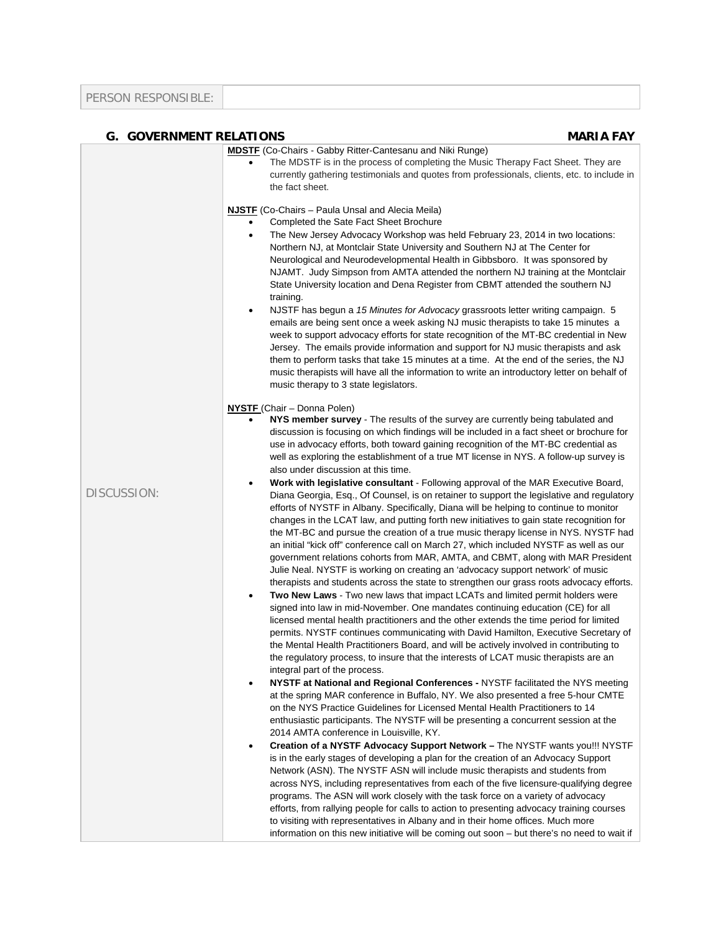| <b>G. GOVERNMENT RELATIONS</b> | <b>MARIA FAY</b>                                                                                                                                                                                                                                                                                                                                                                                                                                                                                                                                                                                                                                                                                                                                                                                                                                                                                                                                                                                                                                                                                                                                                                                                                                                                                                                                                                                     |
|--------------------------------|------------------------------------------------------------------------------------------------------------------------------------------------------------------------------------------------------------------------------------------------------------------------------------------------------------------------------------------------------------------------------------------------------------------------------------------------------------------------------------------------------------------------------------------------------------------------------------------------------------------------------------------------------------------------------------------------------------------------------------------------------------------------------------------------------------------------------------------------------------------------------------------------------------------------------------------------------------------------------------------------------------------------------------------------------------------------------------------------------------------------------------------------------------------------------------------------------------------------------------------------------------------------------------------------------------------------------------------------------------------------------------------------------|
|                                | <b>MDSTF</b> (Co-Chairs - Gabby Ritter-Cantesanu and Niki Runge)<br>The MDSTF is in the process of completing the Music Therapy Fact Sheet. They are<br>$\bullet$<br>currently gathering testimonials and quotes from professionals, clients, etc. to include in<br>the fact sheet.<br><b>NJSTF</b> (Co-Chairs – Paula Unsal and Alecia Meila)                                                                                                                                                                                                                                                                                                                                                                                                                                                                                                                                                                                                                                                                                                                                                                                                                                                                                                                                                                                                                                                       |
|                                | Completed the Sate Fact Sheet Brochure<br>The New Jersey Advocacy Workshop was held February 23, 2014 in two locations:<br>٠<br>Northern NJ, at Montclair State University and Southern NJ at The Center for<br>Neurological and Neurodevelopmental Health in Gibbsboro. It was sponsored by<br>NJAMT. Judy Simpson from AMTA attended the northern NJ training at the Montclair<br>State University location and Dena Register from CBMT attended the southern NJ<br>training.<br>NJSTF has begun a 15 Minutes for Advocacy grassroots letter writing campaign. 5<br>$\bullet$<br>emails are being sent once a week asking NJ music therapists to take 15 minutes a<br>week to support advocacy efforts for state recognition of the MT-BC credential in New<br>Jersey. The emails provide information and support for NJ music therapists and ask<br>them to perform tasks that take 15 minutes at a time. At the end of the series, the NJ<br>music therapists will have all the information to write an introductory letter on behalf of<br>music therapy to 3 state legislators.                                                                                                                                                                                                                                                                                                                |
|                                | <b>NYSTF</b> (Chair – Donna Polen)<br>NYS member survey - The results of the survey are currently being tabulated and<br>discussion is focusing on which findings will be included in a fact sheet or brochure for<br>use in advocacy efforts, both toward gaining recognition of the MT-BC credential as<br>well as exploring the establishment of a true MT license in NYS. A follow-up survey is<br>also under discussion at this time.                                                                                                                                                                                                                                                                                                                                                                                                                                                                                                                                                                                                                                                                                                                                                                                                                                                                                                                                                           |
| <b>DISCUSSION:</b>             | Work with legislative consultant - Following approval of the MAR Executive Board,<br>Diana Georgia, Esq., Of Counsel, is on retainer to support the legislative and regulatory<br>efforts of NYSTF in Albany. Specifically, Diana will be helping to continue to monitor<br>changes in the LCAT law, and putting forth new initiatives to gain state recognition for<br>the MT-BC and pursue the creation of a true music therapy license in NYS. NYSTF had<br>an initial "kick off" conference call on March 27, which included NYSTF as well as our<br>government relations cohorts from MAR, AMTA, and CBMT, along with MAR President<br>Julie Neal. NYSTF is working on creating an 'advocacy support network' of music<br>therapists and students across the state to strengthen our grass roots advocacy efforts.<br>Two New Laws - Two new laws that impact LCATs and limited permit holders were<br>٠<br>signed into law in mid-November. One mandates continuing education (CE) for all<br>licensed mental health practitioners and the other extends the time period for limited<br>permits. NYSTF continues communicating with David Hamilton, Executive Secretary of<br>the Mental Health Practitioners Board, and will be actively involved in contributing to<br>the regulatory process, to insure that the interests of LCAT music therapists are an<br>integral part of the process. |
|                                | NYSTF at National and Regional Conferences - NYSTF facilitated the NYS meeting<br>٠<br>at the spring MAR conference in Buffalo, NY. We also presented a free 5-hour CMTE<br>on the NYS Practice Guidelines for Licensed Mental Health Practitioners to 14<br>enthusiastic participants. The NYSTF will be presenting a concurrent session at the<br>2014 AMTA conference in Louisville, KY.<br>Creation of a NYSTF Advocacy Support Network - The NYSTF wants you!!! NYSTF<br>٠<br>is in the early stages of developing a plan for the creation of an Advocacy Support                                                                                                                                                                                                                                                                                                                                                                                                                                                                                                                                                                                                                                                                                                                                                                                                                               |
|                                | Network (ASN). The NYSTF ASN will include music therapists and students from<br>across NYS, including representatives from each of the five licensure-qualifying degree<br>programs. The ASN will work closely with the task force on a variety of advocacy<br>efforts, from rallying people for calls to action to presenting advocacy training courses<br>to visiting with representatives in Albany and in their home offices. Much more<br>information on this new initiative will be coming out soon – but there's no need to wait if                                                                                                                                                                                                                                                                                                                                                                                                                                                                                                                                                                                                                                                                                                                                                                                                                                                           |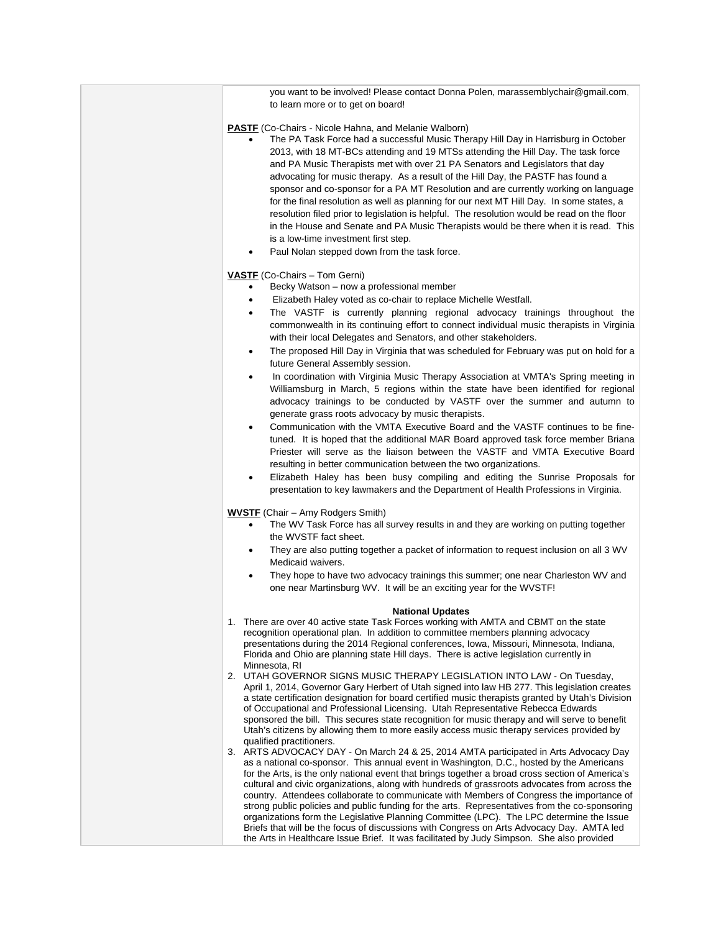you want to be involved! Please contact Donna Polen, marassemblychair@gmail.com, to learn more or to get on board!

## **PASTF** (Co-Chairs - Nicole Hahna, and Melanie Walborn)

- The PA Task Force had a successful Music Therapy Hill Day in Harrisburg in October 2013, with 18 MT-BCs attending and 19 MTSs attending the Hill Day. The task force and PA Music Therapists met with over 21 PA Senators and Legislators that day advocating for music therapy. As a result of the Hill Day, the PASTF has found a sponsor and co-sponsor for a PA MT Resolution and are currently working on language for the final resolution as well as planning for our next MT Hill Day. In some states, a resolution filed prior to legislation is helpful. The resolution would be read on the floor in the House and Senate and PA Music Therapists would be there when it is read. This is a low-time investment first step.
- Paul Nolan stepped down from the task force.

### **VASTF** (Co-Chairs – Tom Gerni)

- Becky Watson now a professional member
- Elizabeth Haley voted as co-chair to replace Michelle Westfall.
- The VASTF is currently planning regional advocacy trainings throughout the commonwealth in its continuing effort to connect individual music therapists in Virginia with their local Delegates and Senators, and other stakeholders.
- The proposed Hill Day in Virginia that was scheduled for February was put on hold for a future General Assembly session.
- In coordination with Virginia Music Therapy Association at VMTA's Spring meeting in Williamsburg in March, 5 regions within the state have been identified for regional advocacy trainings to be conducted by VASTF over the summer and autumn to generate grass roots advocacy by music therapists.
- Communication with the VMTA Executive Board and the VASTF continues to be finetuned. It is hoped that the additional MAR Board approved task force member Briana Priester will serve as the liaison between the VASTF and VMTA Executive Board resulting in better communication between the two organizations.
- Elizabeth Haley has been busy compiling and editing the Sunrise Proposals for presentation to key lawmakers and the Department of Health Professions in Virginia.

### **WVSTF** (Chair – Amy Rodgers Smith)

- The WV Task Force has all survey results in and they are working on putting together the WVSTF fact sheet.
- They are also putting together a packet of information to request inclusion on all 3 WV Medicaid waivers.
- They hope to have two advocacy trainings this summer; one near Charleston WV and one near Martinsburg WV. It will be an exciting year for the WVSTF!

### **National Updates**

- 1. There are over 40 active state Task Forces working with AMTA and CBMT on the state recognition operational plan. In addition to committee members planning advocacy presentations during the 2014 Regional conferences, Iowa, Missouri, Minnesota, Indiana, Florida and Ohio are planning state Hill days. There is active legislation currently in Minnesota, RI
- 2. UTAH GOVERNOR SIGNS MUSIC THERAPY LEGISLATION INTO LAW On Tuesday, April 1, 2014, Governor Gary Herbert of Utah signed into law HB 277. This legislation creates a state certification designation for board certified music therapists granted by Utah's Division of Occupational and Professional Licensing. Utah Representative Rebecca Edwards sponsored the bill. This secures state recognition for music therapy and will serve to benefit Utah's citizens by allowing them to more easily access music therapy services provided by qualified practitioners.
- 3. ARTS ADVOCACY DAY On March 24 & 25, 2014 AMTA participated in Arts Advocacy Day as a national co-sponsor. This annual event in Washington, D.C., hosted by the Americans for the Arts, is the only national event that brings together a broad cross section of America's cultural and civic organizations, along with hundreds of grassroots advocates from across the country. Attendees collaborate to communicate with Members of Congress the importance of strong public policies and public funding for the arts. Representatives from the co-sponsoring organizations form the Legislative Planning Committee (LPC). The LPC determine the Issue Briefs that will be the focus of discussions with Congress on Arts Advocacy Day. AMTA led the Arts in Healthcare Issue Brief. It was facilitated by Judy Simpson. She also provided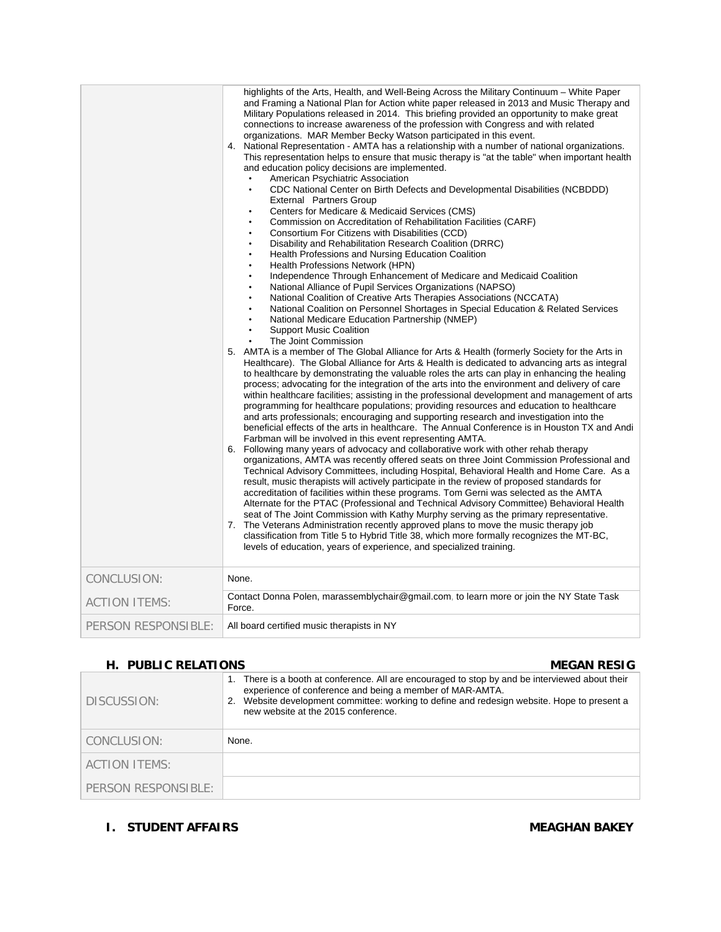|                      | highlights of the Arts, Health, and Well-Being Across the Military Continuum - White Paper<br>and Framing a National Plan for Action white paper released in 2013 and Music Therapy and<br>Military Populations released in 2014. This briefing provided an opportunity to make great<br>connections to increase awareness of the profession with Congress and with related<br>organizations. MAR Member Becky Watson participated in this event.<br>4. National Representation - AMTA has a relationship with a number of national organizations.<br>This representation helps to ensure that music therapy is "at the table" when important health<br>and education policy decisions are implemented.<br>American Psychiatric Association<br>CDC National Center on Birth Defects and Developmental Disabilities (NCBDDD)<br>$\bullet$<br>External Partners Group<br>Centers for Medicare & Medicaid Services (CMS)<br>Commission on Accreditation of Rehabilitation Facilities (CARF)<br>Consortium For Citizens with Disabilities (CCD)<br>Disability and Rehabilitation Research Coalition (DRRC)<br>Health Professions and Nursing Education Coalition<br>Health Professions Network (HPN)<br>Independence Through Enhancement of Medicare and Medicaid Coalition<br>National Alliance of Pupil Services Organizations (NAPSO)<br>National Coalition of Creative Arts Therapies Associations (NCCATA)<br>National Coalition on Personnel Shortages in Special Education & Related Services<br>National Medicare Education Partnership (NMEP)<br><b>Support Music Coalition</b><br>The Joint Commission<br>5. AMTA is a member of The Global Alliance for Arts & Health (formerly Society for the Arts in<br>Healthcare). The Global Alliance for Arts & Health is dedicated to advancing arts as integral<br>to healthcare by demonstrating the valuable roles the arts can play in enhancing the healing<br>process; advocating for the integration of the arts into the environment and delivery of care<br>within healthcare facilities; assisting in the professional development and management of arts<br>programming for healthcare populations; providing resources and education to healthcare<br>and arts professionals; encouraging and supporting research and investigation into the<br>beneficial effects of the arts in healthcare. The Annual Conference is in Houston TX and Andi<br>Farbman will be involved in this event representing AMTA.<br>6. Following many years of advocacy and collaborative work with other rehab therapy<br>organizations, AMTA was recently offered seats on three Joint Commission Professional and<br>Technical Advisory Committees, including Hospital, Behavioral Health and Home Care. As a<br>result, music therapists will actively participate in the review of proposed standards for<br>accreditation of facilities within these programs. Tom Gerni was selected as the AMTA<br>Alternate for the PTAC (Professional and Technical Advisory Committee) Behavioral Health<br>seat of The Joint Commission with Kathy Murphy serving as the primary representative.<br>7. The Veterans Administration recently approved plans to move the music therapy job<br>classification from Title 5 to Hybrid Title 38, which more formally recognizes the MT-BC,<br>levels of education, years of experience, and specialized training. |
|----------------------|-----------------------------------------------------------------------------------------------------------------------------------------------------------------------------------------------------------------------------------------------------------------------------------------------------------------------------------------------------------------------------------------------------------------------------------------------------------------------------------------------------------------------------------------------------------------------------------------------------------------------------------------------------------------------------------------------------------------------------------------------------------------------------------------------------------------------------------------------------------------------------------------------------------------------------------------------------------------------------------------------------------------------------------------------------------------------------------------------------------------------------------------------------------------------------------------------------------------------------------------------------------------------------------------------------------------------------------------------------------------------------------------------------------------------------------------------------------------------------------------------------------------------------------------------------------------------------------------------------------------------------------------------------------------------------------------------------------------------------------------------------------------------------------------------------------------------------------------------------------------------------------------------------------------------------------------------------------------------------------------------------------------------------------------------------------------------------------------------------------------------------------------------------------------------------------------------------------------------------------------------------------------------------------------------------------------------------------------------------------------------------------------------------------------------------------------------------------------------------------------------------------------------------------------------------------------------------------------------------------------------------------------------------------------------------------------------------------------------------------------------------------------------------------------------------------------------------------------------------------------------------------------------------------------------------------------------------------------------------------------------------------------------------------------------------------------------------------------------------------------------------------------------------------------------------------------------------------------------------------------------------------------------------------------------------------------------------------------------------------------------------------------------|
| CONCLUSION:          | None.                                                                                                                                                                                                                                                                                                                                                                                                                                                                                                                                                                                                                                                                                                                                                                                                                                                                                                                                                                                                                                                                                                                                                                                                                                                                                                                                                                                                                                                                                                                                                                                                                                                                                                                                                                                                                                                                                                                                                                                                                                                                                                                                                                                                                                                                                                                                                                                                                                                                                                                                                                                                                                                                                                                                                                                                                                                                                                                                                                                                                                                                                                                                                                                                                                                                                                                                                                                         |
| <b>ACTION ITEMS:</b> | Contact Donna Polen, marassemblychair@gmail.com, to learn more or join the NY State Task<br>Force.                                                                                                                                                                                                                                                                                                                                                                                                                                                                                                                                                                                                                                                                                                                                                                                                                                                                                                                                                                                                                                                                                                                                                                                                                                                                                                                                                                                                                                                                                                                                                                                                                                                                                                                                                                                                                                                                                                                                                                                                                                                                                                                                                                                                                                                                                                                                                                                                                                                                                                                                                                                                                                                                                                                                                                                                                                                                                                                                                                                                                                                                                                                                                                                                                                                                                            |
| PERSON RESPONSIBLE:  | All board certified music therapists in NY                                                                                                                                                                                                                                                                                                                                                                                                                                                                                                                                                                                                                                                                                                                                                                                                                                                                                                                                                                                                                                                                                                                                                                                                                                                                                                                                                                                                                                                                                                                                                                                                                                                                                                                                                                                                                                                                                                                                                                                                                                                                                                                                                                                                                                                                                                                                                                                                                                                                                                                                                                                                                                                                                                                                                                                                                                                                                                                                                                                                                                                                                                                                                                                                                                                                                                                                                    |

## **H. PUBLIC RELATIONS** MEGAN RESIG

| DISCUSSION:         | 1. There is a booth at conference. All are encouraged to stop by and be interviewed about their<br>experience of conference and being a member of MAR-AMTA.<br>Website development committee: working to define and redesign website. Hope to present a<br>2.<br>new website at the 2015 conference. |
|---------------------|------------------------------------------------------------------------------------------------------------------------------------------------------------------------------------------------------------------------------------------------------------------------------------------------------|
| CONCLUSION:         | None.                                                                                                                                                                                                                                                                                                |
| ACTION ITEMS:       |                                                                                                                                                                                                                                                                                                      |
| PERSON RESPONSIBLE: |                                                                                                                                                                                                                                                                                                      |

## **I.** STUDENT AFFAIRS MEAGHAN BAKEY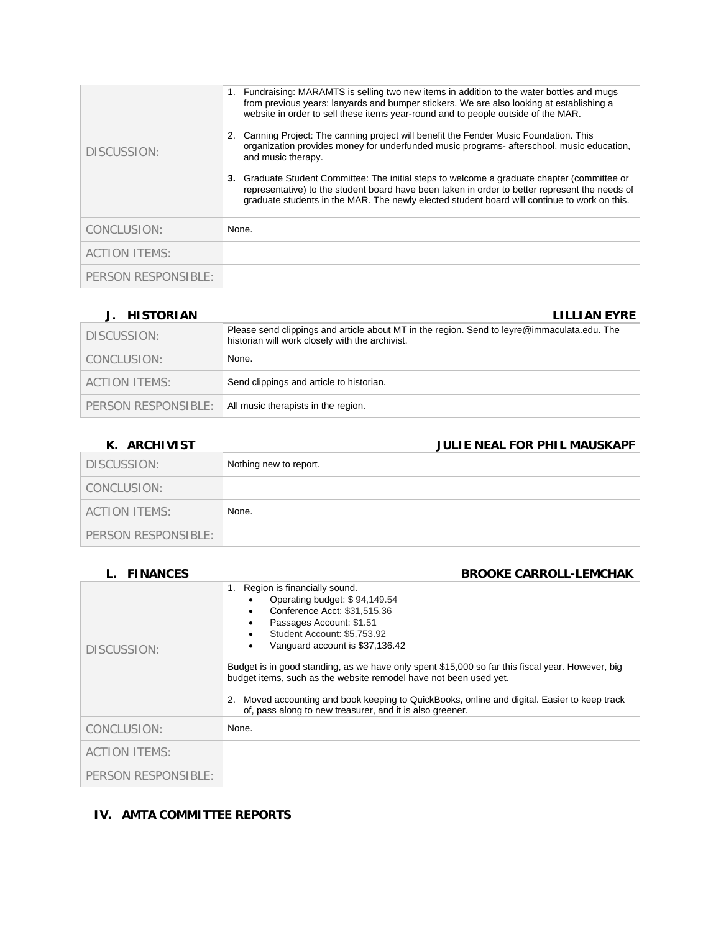| DISCUSSION:          | 1. Fundraising: MARAMTS is selling two new items in addition to the water bottles and mugs<br>from previous years: lanyards and bumper stickers. We are also looking at establishing a<br>website in order to sell these items year-round and to people outside of the MAR.<br>Canning Project: The canning project will benefit the Fender Music Foundation. This<br>2.<br>organization provides money for underfunded music programs-afterschool, music education,<br>and music therapy.<br>Graduate Student Committee: The initial steps to welcome a graduate chapter (committee or<br>3.<br>representative) to the student board have been taken in order to better represent the needs of<br>graduate students in the MAR. The newly elected student board will continue to work on this. |
|----------------------|-------------------------------------------------------------------------------------------------------------------------------------------------------------------------------------------------------------------------------------------------------------------------------------------------------------------------------------------------------------------------------------------------------------------------------------------------------------------------------------------------------------------------------------------------------------------------------------------------------------------------------------------------------------------------------------------------------------------------------------------------------------------------------------------------|
| CONCLUSION:          | None.                                                                                                                                                                                                                                                                                                                                                                                                                                                                                                                                                                                                                                                                                                                                                                                           |
| <b>ACTION ITEMS:</b> |                                                                                                                                                                                                                                                                                                                                                                                                                                                                                                                                                                                                                                                                                                                                                                                                 |
| PERSON RESPONSIBLE:  |                                                                                                                                                                                                                                                                                                                                                                                                                                                                                                                                                                                                                                                                                                                                                                                                 |

## **J. HISTORIAN LILLIAN EYRE**

| J. IIIJIVINIAN      | LILLIAN LINL                                                                                                                                   |
|---------------------|------------------------------------------------------------------------------------------------------------------------------------------------|
| DISCUSSION:         | Please send clippings and article about MT in the region. Send to leyre@immaculata.edu. The<br>historian will work closely with the archivist. |
| CONCLUSION:         | None.                                                                                                                                          |
| ACTION ITEMS:       | Send clippings and article to historian.                                                                                                       |
| PERSON RESPONSIBLE: | All music therapists in the region.                                                                                                            |

## **K. ARCHIVIST JULIE NEAL FOR PHIL MAUSKAPF**

| DISCUSSION:         | Nothing new to report. |
|---------------------|------------------------|
| CONCLUSION:         |                        |
| ACTION ITEMS:       | None.                  |
| PERSON RESPONSIBLE: |                        |

| <b>FINANCES</b>      | <b>BROOKE CARROLL-LEMCHAK</b>                                                                                                                                                                                                                                                                                                                                                                                                                                                                                                                                 |
|----------------------|---------------------------------------------------------------------------------------------------------------------------------------------------------------------------------------------------------------------------------------------------------------------------------------------------------------------------------------------------------------------------------------------------------------------------------------------------------------------------------------------------------------------------------------------------------------|
| DISCUSSION:          | Region is financially sound.<br>1.<br>Operating budget: \$94,149.54<br>Conference Acct: \$31,515.36<br>٠<br>Passages Account: \$1.51<br>٠<br>Student Account: \$5,753.92<br>٠<br>Vanguard account is \$37,136.42<br>٠<br>Budget is in good standing, as we have only spent \$15,000 so far this fiscal year. However, big<br>budget items, such as the website remodel have not been used yet.<br>Moved accounting and book keeping to QuickBooks, online and digital. Easier to keep track<br>2.<br>of, pass along to new treasurer, and it is also greener. |
| CONCLUSION:          | None.                                                                                                                                                                                                                                                                                                                                                                                                                                                                                                                                                         |
| <b>ACTION ITEMS:</b> |                                                                                                                                                                                                                                                                                                                                                                                                                                                                                                                                                               |
| PERSON RESPONSIBLE:  |                                                                                                                                                                                                                                                                                                                                                                                                                                                                                                                                                               |

## **IV. AMTA COMMITTEE REPORTS**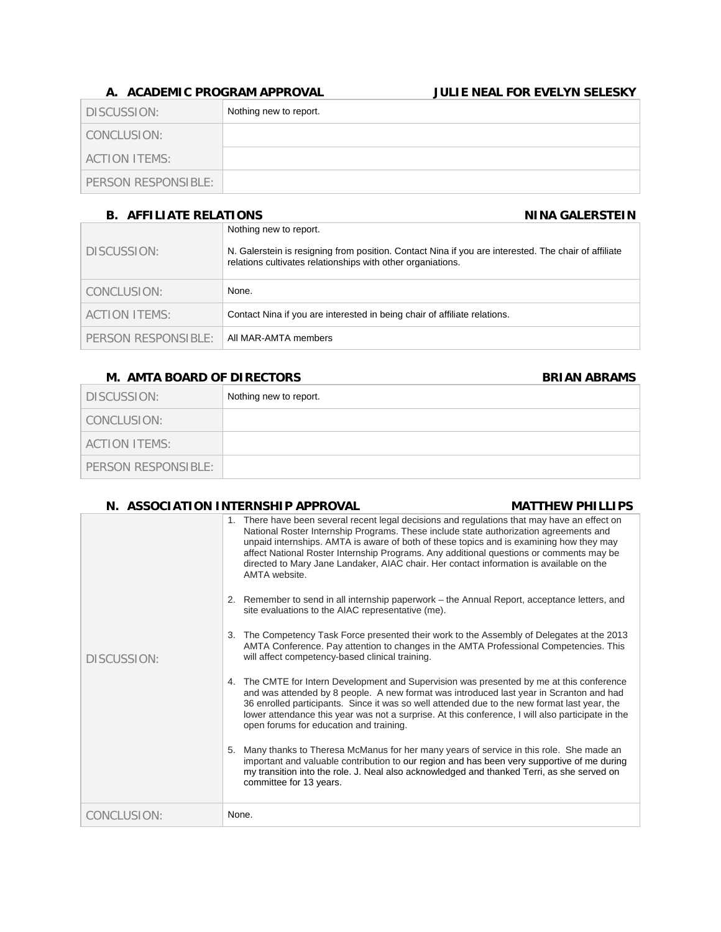## **A. ACADEMIC PROGRAM APPROVAL JULIE NEAL FOR EVELYN SELESKY**

| DISCUSSION:         | Nothing new to report. |
|---------------------|------------------------|
| CONCLUSION:         |                        |
| ACTION ITEMS:       |                        |
| PERSON RESPONSIBLE: |                        |

## **B. AFFILIATE RELATIONS NINA GALERSTEIN**

| <u>D. ALLIERIE IN EERIJOINJ</u> |                                                                                                                                                                                               |
|---------------------------------|-----------------------------------------------------------------------------------------------------------------------------------------------------------------------------------------------|
| DISCUSSION:                     | Nothing new to report.<br>N. Galerstein is resigning from position. Contact Nina if you are interested. The chair of affiliate<br>relations cultivates relationships with other organiations. |
| CONCLUSION:                     | None.                                                                                                                                                                                         |
| ACTION ITEMS:                   | Contact Nina if you are interested in being chair of affiliate relations.                                                                                                                     |
| PERSON RESPONSIBLE:             | All MAR-AMTA members                                                                                                                                                                          |

## **M. AMTA BOARD OF DIRECTORS BRIAN ABRAMS**

| DISCUSSION:         | Nothing new to report. |
|---------------------|------------------------|
| CONCLUSION:         |                        |
| ACTION ITEMS:       |                        |
| PERSON RESPONSIBLE: |                        |

## **N. ASSOCIATION INTERNSHIP APPROVAL MATTHEW PHILLIPS**  DISCUSSION: 1. There have been several recent legal decisions and regulations that may have an effect on National Roster Internship Programs. These include state authorization agreements and unpaid internships. AMTA is aware of both of these topics and is examining how they may affect National Roster Internship Programs. Any additional questions or comments may be directed to Mary Jane Landaker, AIAC chair. Her contact information is available on the AMTA website. 2. Remember to send in all internship paperwork – the Annual Report, acceptance letters, and site evaluations to the AIAC representative (me). 3. The Competency Task Force presented their work to the Assembly of Delegates at the 2013 AMTA Conference. Pay attention to changes in the AMTA Professional Competencies. This will affect competency-based clinical training. 4. The CMTE for Intern Development and Supervision was presented by me at this conference and was attended by 8 people. A new format was introduced last year in Scranton and had 36 enrolled participants. Since it was so well attended due to the new format last year, the lower attendance this year was not a surprise. At this conference, I will also participate in the open forums for education and training. 5. Many thanks to Theresa McManus for her many years of service in this role. She made an important and valuable contribution to our region and has been very supportive of me during my transition into the role. J. Neal also acknowledged and thanked Terri, as she served on committee for 13 years. CONCLUSION: None.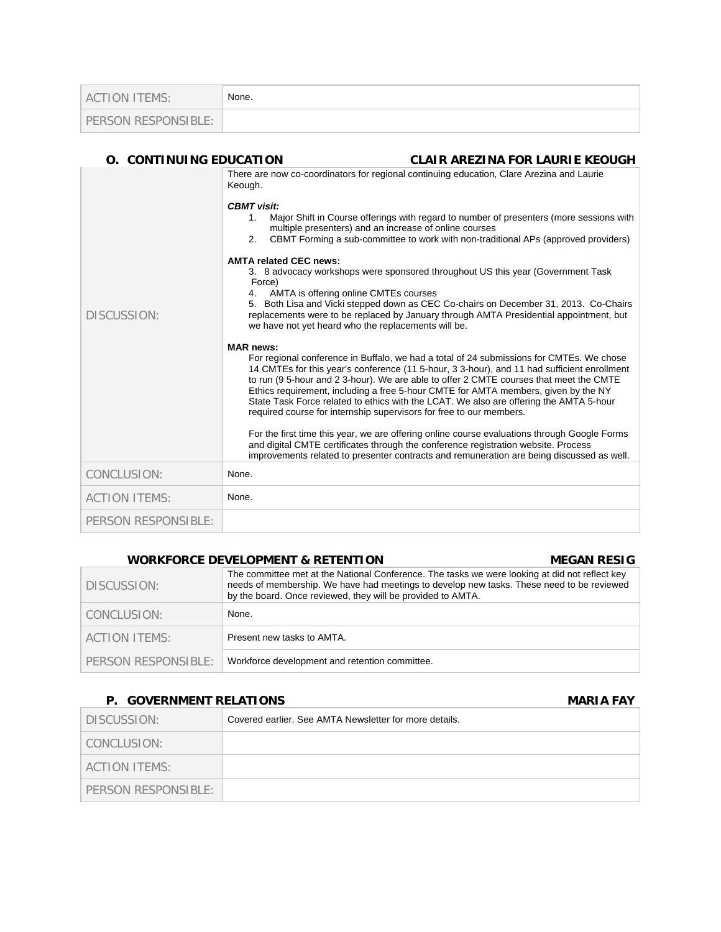| <b>ACTION ITEMS:</b> | None. |
|----------------------|-------|
| PERSON RESPONSIBLE:  |       |

# **O. CONTINUING EDUCATION CLAIR AREZINA FOR LAURIE KEOUGH**

| DISCUSSION:          | There are now co-coordinators for regional continuing education, Clare Arezina and Laurie<br>Keough.<br><b>CBMT</b> visit:<br>Major Shift in Course offerings with regard to number of presenters (more sessions with<br>$1_{\cdot}$<br>multiple presenters) and an increase of online courses<br>CBMT Forming a sub-committee to work with non-traditional APs (approved providers)<br>2.<br><b>AMTA related CEC news:</b><br>3. 8 advocacy workshops were sponsored throughout US this year (Government Task<br>Force)<br>4. AMTA is offering online CMTEs courses<br>5. Both Lisa and Vicki stepped down as CEC Co-chairs on December 31, 2013. Co-Chairs<br>replacements were to be replaced by January through AMTA Presidential appointment, but<br>we have not yet heard who the replacements will be.<br><b>MAR</b> news:<br>For regional conference in Buffalo, we had a total of 24 submissions for CMTEs. We chose<br>14 CMTEs for this year's conference (11 5-hour, 3 3-hour), and 11 had sufficient enrollment<br>to run (9 5-hour and 2 3-hour). We are able to offer 2 CMTE courses that meet the CMTE<br>Ethics requirement, including a free 5-hour CMTE for AMTA members, given by the NY<br>State Task Force related to ethics with the LCAT. We also are offering the AMTA 5-hour<br>required course for internship supervisors for free to our members.<br>For the first time this year, we are offering online course evaluations through Google Forms<br>and digital CMTE certificates through the conference registration website. Process |
|----------------------|---------------------------------------------------------------------------------------------------------------------------------------------------------------------------------------------------------------------------------------------------------------------------------------------------------------------------------------------------------------------------------------------------------------------------------------------------------------------------------------------------------------------------------------------------------------------------------------------------------------------------------------------------------------------------------------------------------------------------------------------------------------------------------------------------------------------------------------------------------------------------------------------------------------------------------------------------------------------------------------------------------------------------------------------------------------------------------------------------------------------------------------------------------------------------------------------------------------------------------------------------------------------------------------------------------------------------------------------------------------------------------------------------------------------------------------------------------------------------------------------------------------------------------------------------------------------|
|                      | improvements related to presenter contracts and remuneration are being discussed as well.                                                                                                                                                                                                                                                                                                                                                                                                                                                                                                                                                                                                                                                                                                                                                                                                                                                                                                                                                                                                                                                                                                                                                                                                                                                                                                                                                                                                                                                                           |
| CONCLUSION:          | None.                                                                                                                                                                                                                                                                                                                                                                                                                                                                                                                                                                                                                                                                                                                                                                                                                                                                                                                                                                                                                                                                                                                                                                                                                                                                                                                                                                                                                                                                                                                                                               |
| <b>ACTION ITEMS:</b> | None.                                                                                                                                                                                                                                                                                                                                                                                                                                                                                                                                                                                                                                                                                                                                                                                                                                                                                                                                                                                                                                                                                                                                                                                                                                                                                                                                                                                                                                                                                                                                                               |
| PERSON RESPONSIBLE:  |                                                                                                                                                                                                                                                                                                                                                                                                                                                                                                                                                                                                                                                                                                                                                                                                                                                                                                                                                                                                                                                                                                                                                                                                                                                                                                                                                                                                                                                                                                                                                                     |

## **WORKFORCE DEVELOPMENT & RETENTION MEGAN RESIG**

| DISCUSSION:         | The committee met at the National Conference. The tasks we were looking at did not reflect key<br>needs of membership. We have had meetings to develop new tasks. These need to be reviewed<br>by the board. Once reviewed, they will be provided to AMTA. |
|---------------------|------------------------------------------------------------------------------------------------------------------------------------------------------------------------------------------------------------------------------------------------------------|
| CONCLUSION:         | None.                                                                                                                                                                                                                                                      |
| LACTION ITEMS:      | Present new tasks to AMTA.                                                                                                                                                                                                                                 |
| PERSON RESPONSIBLE: | Workforce development and retention committee.                                                                                                                                                                                                             |

## **P. GOVERNMENT RELATIONS COVERNMENT RELATIONS**

| DISCUSSION:         | Covered earlier. See AMTA Newsletter for more details. |
|---------------------|--------------------------------------------------------|
| CONCLUSION:         |                                                        |
| ACTION ITEMS:       |                                                        |
| PERSON RESPONSIBLE: |                                                        |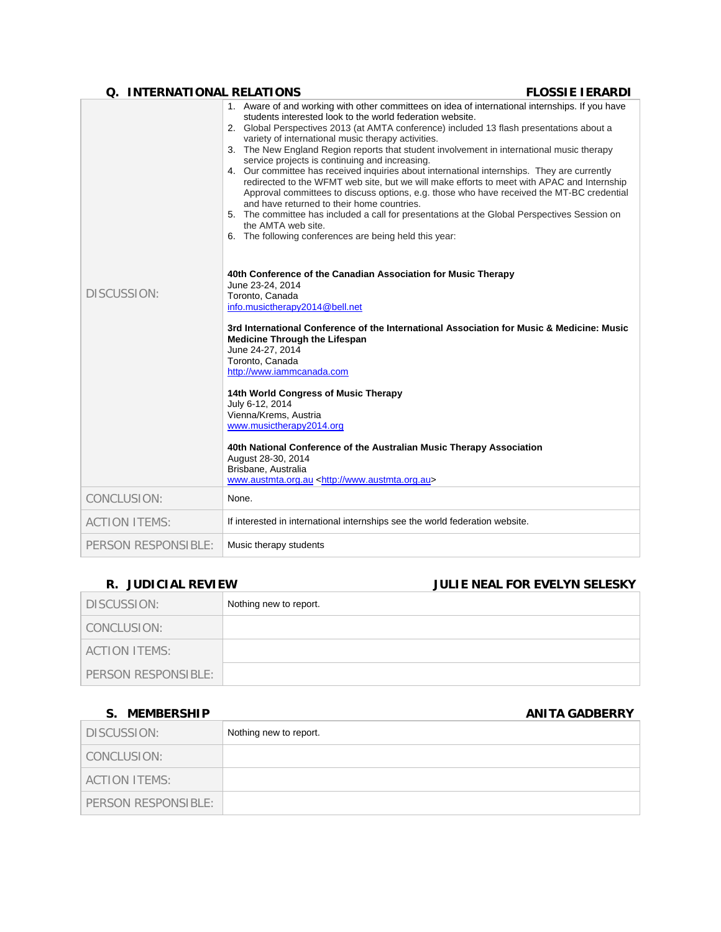## **Q. INTERNATIONAL RELATIONS FLOSSIE IERARDI**

|                      | 1. Aware of and working with other committees on idea of international internships. If you have<br>students interested look to the world federation website.<br>2. Global Perspectives 2013 (at AMTA conference) included 13 flash presentations about a<br>variety of international music therapy activities.<br>3. The New England Region reports that student involvement in international music therapy<br>service projects is continuing and increasing.<br>4. Our committee has received inquiries about international internships. They are currently<br>redirected to the WFMT web site, but we will make efforts to meet with APAC and Internship<br>Approval committees to discuss options, e.g. those who have received the MT-BC credential<br>and have returned to their home countries.<br>5. The committee has included a call for presentations at the Global Perspectives Session on<br>the AMTA web site.<br>6. The following conferences are being held this year: |
|----------------------|---------------------------------------------------------------------------------------------------------------------------------------------------------------------------------------------------------------------------------------------------------------------------------------------------------------------------------------------------------------------------------------------------------------------------------------------------------------------------------------------------------------------------------------------------------------------------------------------------------------------------------------------------------------------------------------------------------------------------------------------------------------------------------------------------------------------------------------------------------------------------------------------------------------------------------------------------------------------------------------|
| DISCUSSION:          | 40th Conference of the Canadian Association for Music Therapy<br>June 23-24, 2014<br>Toronto, Canada<br>info.musictherapy2014@bell.net<br>3rd International Conference of the International Association for Music & Medicine: Music<br><b>Medicine Through the Lifespan</b><br>June 24-27, 2014<br>Toronto, Canada<br>http://www.iammcanada.com                                                                                                                                                                                                                                                                                                                                                                                                                                                                                                                                                                                                                                       |
|                      | 14th World Congress of Music Therapy<br>July 6-12, 2014<br>Vienna/Krems, Austria<br>www.musictherapy2014.org<br>40th National Conference of the Australian Music Therapy Association<br>August 28-30, 2014                                                                                                                                                                                                                                                                                                                                                                                                                                                                                                                                                                                                                                                                                                                                                                            |
|                      | Brisbane, Australia<br>www.austmta.org.au <http: www.austmta.org.au=""></http:>                                                                                                                                                                                                                                                                                                                                                                                                                                                                                                                                                                                                                                                                                                                                                                                                                                                                                                       |
| CONCLUSION:          | None.                                                                                                                                                                                                                                                                                                                                                                                                                                                                                                                                                                                                                                                                                                                                                                                                                                                                                                                                                                                 |
| <b>ACTION ITEMS:</b> | If interested in international internships see the world federation website.                                                                                                                                                                                                                                                                                                                                                                                                                                                                                                                                                                                                                                                                                                                                                                                                                                                                                                          |
| PERSON RESPONSIBLE:  | Music therapy students                                                                                                                                                                                                                                                                                                                                                                                                                                                                                                                                                                                                                                                                                                                                                                                                                                                                                                                                                                |

# **R. JUDICIAL REVIEW JULIE NEAL FOR EVELYN SELESKY**

| DISCUSSION:          | Nothing new to report. |
|----------------------|------------------------|
| CONCLUSION:          |                        |
| <b>ACTION ITEMS:</b> |                        |
| PERSON RESPONSIBLE:  |                        |

## **S. MEMBERSHIP ANITA GADBERRY**

| DISCUSSION:         | Nothing new to report. |
|---------------------|------------------------|
| CONCLUSION:         |                        |
| ACTION ITEMS:       |                        |
| PERSON RESPONSIBLE: |                        |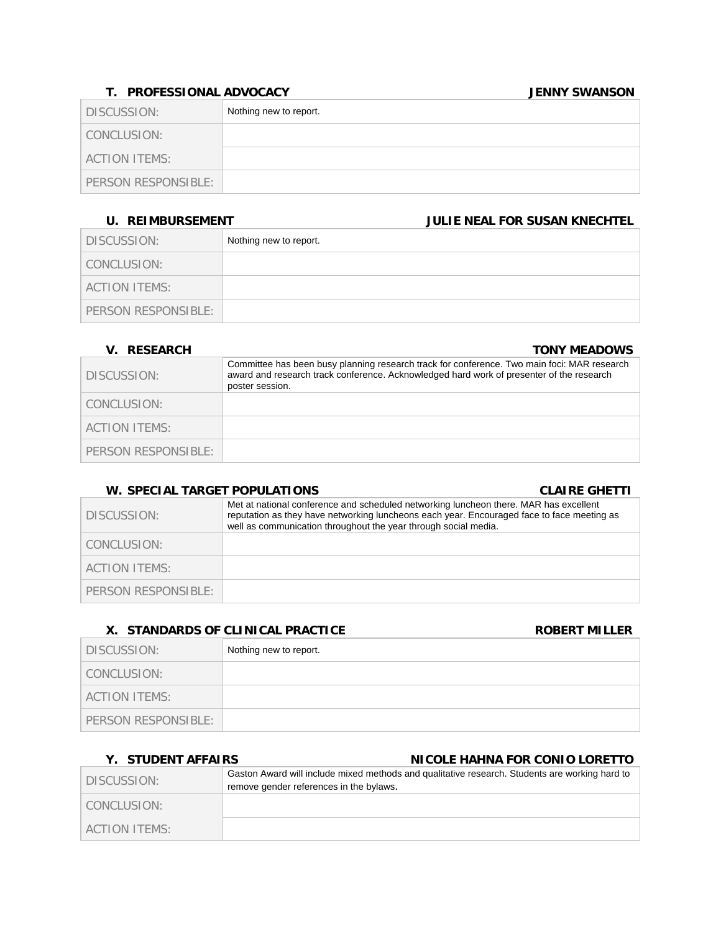## **T. PROFESSIONAL ADVOCACY JENNY SWANSON**

| DISCUSSION:         | Nothing new to report. |
|---------------------|------------------------|
| CONCLUSION:         |                        |
| ACTION ITEMS:       |                        |
| PERSON RESPONSIBLE: |                        |

## **U. REIMBURSEMENT JULIE NEAL FOR SUSAN KNECHTEL**

| DISCUSSION:          | Nothing new to report. |
|----------------------|------------------------|
| CONCLUSION:          |                        |
| <b>ACTION ITEMS:</b> |                        |
| PERSON RESPONSIBLE:  |                        |

## **V. RESEARCH TONY MEADOWS** DISCUSSION: Committee has been busy planning research track for conference. Two main foci: MAR research award and research track conference. Acknowledged hard work of presenter of the research poster session. CONCLUSION: ACTION ITEMS: PERSON RESPONSIBLE:

## **W. SPECIAL TARGET POPULATIONS CLAIRE GHETTI**

| W. JELVIAL IANJLI EVEDLATIVNJ |                                                                                                                                                                                                                                                        | <u>ULAINE UILLII</u> |
|-------------------------------|--------------------------------------------------------------------------------------------------------------------------------------------------------------------------------------------------------------------------------------------------------|----------------------|
| DISCUSSION:                   | Met at national conference and scheduled networking luncheon there. MAR has excellent<br>reputation as they have networking luncheons each year. Encouraged face to face meeting as<br>well as communication throughout the year through social media. |                      |
| CONCLUSION:                   |                                                                                                                                                                                                                                                        |                      |
| ACTION ITEMS:                 |                                                                                                                                                                                                                                                        |                      |
| PERSON RESPONSIBLE:           |                                                                                                                                                                                                                                                        |                      |

## **X. STANDARDS OF CLINICAL PRACTICE CONSUMING THE ROBERT MILLER**

| DISCUSSION:         | Nothing new to report. |
|---------------------|------------------------|
| CONCLUSION:         |                        |
| ACTION ITEMS:       |                        |
| PERSON RESPONSIBLE: |                        |

## **Y. STUDENT AFFAIRS NICOLE HAHNA FOR CONIO LORETTO**

| DISCUSSION:      | Gaston Award will include mixed methods and qualitative research. Students are working hard to<br>remove gender references in the bylaws. |
|------------------|-------------------------------------------------------------------------------------------------------------------------------------------|
| CONCLUSION:      |                                                                                                                                           |
| LACTION ITEMS: I |                                                                                                                                           |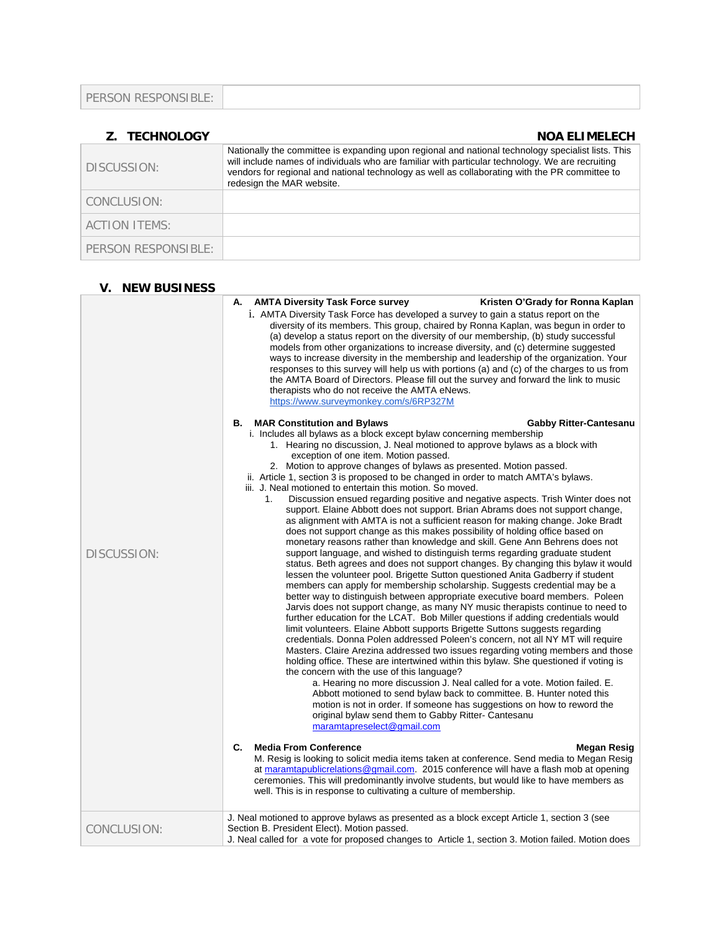|--|

| <b>Z. TECHNOLOGY</b> | <b>NOA ELIMELECH</b>                                                                                                                                                                                                                                                                                                                  |
|----------------------|---------------------------------------------------------------------------------------------------------------------------------------------------------------------------------------------------------------------------------------------------------------------------------------------------------------------------------------|
| DISCUSSION:          | Nationally the committee is expanding upon regional and national technology specialist lists. This<br>will include names of individuals who are familiar with particular technology. We are recruiting<br>vendors for regional and national technology as well as collaborating with the PR committee to<br>redesign the MAR website. |
| CONCLUSION:          |                                                                                                                                                                                                                                                                                                                                       |
| <b>ACTION ITEMS:</b> |                                                                                                                                                                                                                                                                                                                                       |
| PERSON RESPONSIBLE:  |                                                                                                                                                                                                                                                                                                                                       |

| <b>V. NEW BUSINESS</b> |                                                                                                                                                                                                                                                                                                                                                                                                                                                                                                                                                                                                                                                                                                                                                                                                                                                                                                                                                                                                                                                                                                                                                                                                                                                                                                                                                                                                                                                                                                                                                                                                                                                                                                                                                                                                                                                                                                                                                                                                                                                                                                                                                                                                                                                                                                                                                                                                                                                                                                                                                                                                                                                                                                         |
|------------------------|---------------------------------------------------------------------------------------------------------------------------------------------------------------------------------------------------------------------------------------------------------------------------------------------------------------------------------------------------------------------------------------------------------------------------------------------------------------------------------------------------------------------------------------------------------------------------------------------------------------------------------------------------------------------------------------------------------------------------------------------------------------------------------------------------------------------------------------------------------------------------------------------------------------------------------------------------------------------------------------------------------------------------------------------------------------------------------------------------------------------------------------------------------------------------------------------------------------------------------------------------------------------------------------------------------------------------------------------------------------------------------------------------------------------------------------------------------------------------------------------------------------------------------------------------------------------------------------------------------------------------------------------------------------------------------------------------------------------------------------------------------------------------------------------------------------------------------------------------------------------------------------------------------------------------------------------------------------------------------------------------------------------------------------------------------------------------------------------------------------------------------------------------------------------------------------------------------------------------------------------------------------------------------------------------------------------------------------------------------------------------------------------------------------------------------------------------------------------------------------------------------------------------------------------------------------------------------------------------------------------------------------------------------------------------------------------------------|
| DISCUSSION:            | <b>AMTA Diversity Task Force survey</b><br>Kristen O'Grady for Ronna Kaplan<br>А.<br>i. AMTA Diversity Task Force has developed a survey to gain a status report on the<br>diversity of its members. This group, chaired by Ronna Kaplan, was begun in order to<br>(a) develop a status report on the diversity of our membership, (b) study successful<br>models from other organizations to increase diversity, and (c) determine suggested<br>ways to increase diversity in the membership and leadership of the organization. Your<br>responses to this survey will help us with portions (a) and (c) of the charges to us from<br>the AMTA Board of Directors. Please fill out the survey and forward the link to music<br>therapists who do not receive the AMTA eNews.<br>https://www.surveymonkey.com/s/6RP327M<br><b>B.</b> MAR Constitution and Bylaws<br><b>Gabby Ritter-Cantesanu</b><br>i. Includes all bylaws as a block except bylaw concerning membership<br>1. Hearing no discussion, J. Neal motioned to approve bylaws as a block with<br>exception of one item. Motion passed.<br>2. Motion to approve changes of bylaws as presented. Motion passed.<br>ii. Article 1, section 3 is proposed to be changed in order to match AMTA's bylaws.<br>iii. J. Neal motioned to entertain this motion. So moved.<br>Discussion ensued regarding positive and negative aspects. Trish Winter does not<br>1.<br>support. Elaine Abbott does not support. Brian Abrams does not support change,<br>as alignment with AMTA is not a sufficient reason for making change. Joke Bradt<br>does not support change as this makes possibility of holding office based on<br>monetary reasons rather than knowledge and skill. Gene Ann Behrens does not<br>support language, and wished to distinguish terms regarding graduate student<br>status. Beth agrees and does not support changes. By changing this bylaw it would<br>lessen the volunteer pool. Brigette Sutton questioned Anita Gadberry if student<br>members can apply for membership scholarship. Suggests credential may be a<br>better way to distinguish between appropriate executive board members. Poleen<br>Jarvis does not support change, as many NY music therapists continue to need to<br>further education for the LCAT. Bob Miller questions if adding credentials would<br>limit volunteers. Elaine Abbott supports Brigette Suttons suggests regarding<br>credentials. Donna Polen addressed Poleen's concern, not all NY MT will require<br>Masters. Claire Arezina addressed two issues regarding voting members and those<br>holding office. These are intertwined within this bylaw. She questioned if voting is |
|                        | the concern with the use of this language?<br>a. Hearing no more discussion J. Neal called for a vote. Motion failed. E.<br>Abbott motioned to send bylaw back to committee. B. Hunter noted this<br>motion is not in order. If someone has suggestions on how to reword the<br>original bylaw send them to Gabby Ritter- Cantesanu<br>maramtapreselect@gmail.com                                                                                                                                                                                                                                                                                                                                                                                                                                                                                                                                                                                                                                                                                                                                                                                                                                                                                                                                                                                                                                                                                                                                                                                                                                                                                                                                                                                                                                                                                                                                                                                                                                                                                                                                                                                                                                                                                                                                                                                                                                                                                                                                                                                                                                                                                                                                       |
|                        | $\mathbf{C}$<br><b>Media From Conference</b><br>Megan Resig<br>M. Resig is looking to solicit media items taken at conference. Send media to Megan Resig<br>at maramtapublicrelations@gmail.com. 2015 conference will have a flash mob at opening<br>ceremonies. This will predominantly involve students, but would like to have members as<br>well. This is in response to cultivating a culture of membership.                                                                                                                                                                                                                                                                                                                                                                                                                                                                                                                                                                                                                                                                                                                                                                                                                                                                                                                                                                                                                                                                                                                                                                                                                                                                                                                                                                                                                                                                                                                                                                                                                                                                                                                                                                                                                                                                                                                                                                                                                                                                                                                                                                                                                                                                                       |
| CONCLUSION:            | J. Neal motioned to approve bylaws as presented as a block except Article 1, section 3 (see<br>Section B. President Elect). Motion passed.<br>J. Neal called for a vote for proposed changes to Article 1, section 3. Motion failed. Motion does                                                                                                                                                                                                                                                                                                                                                                                                                                                                                                                                                                                                                                                                                                                                                                                                                                                                                                                                                                                                                                                                                                                                                                                                                                                                                                                                                                                                                                                                                                                                                                                                                                                                                                                                                                                                                                                                                                                                                                                                                                                                                                                                                                                                                                                                                                                                                                                                                                                        |